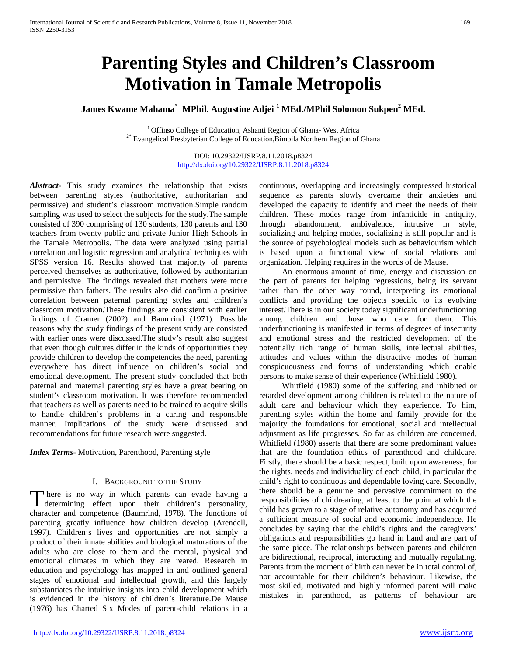# **Parenting Styles and Children's Classroom Motivation in Tamale Metropolis**

# **James Kwame Mahama\* MPhil. Augustine Adjei <sup>1</sup> MEd./MPhil Solomon Sukpen<sup>2</sup> MEd.**

 $^1$  Offinso College of Education, Ashanti Region of Ghana- West Africa $^{2*}$  Evangelical Presbyterian College of Education,Bimbila Northern Region of Ghana

DOI: 10.29322/IJSRP.8.11.2018.p8324 <http://dx.doi.org/10.29322/IJSRP.8.11.2018.p8324>

*Abstract***-** This study examines the relationship that exists between parenting styles (authoritative, authoritarian and permissive) and student's classroom motivation.Simple random sampling was used to select the subjects for the study.The sample consisted of 390 comprising of 130 students, 130 parents and 130 teachers from twenty public and private Junior High Schools in the Tamale Metropolis. The data were analyzed using partial correlation and logistic regression and analytical techniques with SPSS version 16. Results showed that majority of parents perceived themselves as authoritative, followed by authoritarian and permissive. The findings revealed that mothers were more permissive than fathers. The results also did confirm a positive correlation between paternal parenting styles and children's classroom motivation.These findings are consistent with earlier findings of Cramer (2002) and Baumrind (1971). Possible reasons why the study findings of the present study are consisted with earlier ones were discussed.The study's result also suggest that even though cultures differ in the kinds of opportunities they provide children to develop the competencies the need, parenting everywhere has direct influence on children's social and emotional development. The present study concluded that both paternal and maternal parenting styles have a great bearing on student's classroom motivation. It was therefore recommended that teachers as well as parents need to be trained to acquire skills to handle children's problems in a caring and responsible manner. Implications of the study were discussed and recommendations for future research were suggested.

*Index Terms*- Motivation, Parenthood, Parenting style

#### I. BACKGROUND TO THE STUDY

here is no way in which parents can evade having a There is no way in which parents can evade having a determining effect upon their children's personality, character and competence (Baumrind, 1978). The functions of parenting greatly influence how children develop (Arendell, 1997). Children's lives and opportunities are not simply a product of their innate abilities and biological maturations of the adults who are close to them and the mental, physical and emotional climates in which they are reared. Research in education and psychology has mapped in and outlined general stages of emotional and intellectual growth, and this largely substantiates the intuitive insights into child development which is evidenced in the history of children's literature.De Mause (1976) has Charted Six Modes of parent-child relations in a

continuous, overlapping and increasingly compressed historical sequence as parents slowly overcame their anxieties and developed the capacity to identify and meet the needs of their children. These modes range from infanticide in antiquity, through abandonment, ambivalence, intrusive in style, socializing and helping modes, socializing is still popular and is the source of psychological models such as behaviourism which is based upon a functional view of social relations and organization. Helping requires in the words of de Mause.

 An enormous amount of time, energy and discussion on the part of parents for helping regressions, being its servant rather than the other way round, interpreting its emotional conflicts and providing the objects specific to its evolving interest.There is in our society today significant underfunctioning among children and those who care for them. This underfunctioning is manifested in terms of degrees of insecurity and emotional stress and the restricted development of the potentially rich range of human skills, intellectual abilities, attitudes and values within the distractive modes of human conspicuousness and forms of understanding which enable persons to make sense of their experience (Whitfield 1980).

 Whitfield (1980) some of the suffering and inhibited or retarded development among children is related to the nature of adult care and behaviour which they experience. To him, parenting styles within the home and family provide for the majority the foundations for emotional, social and intellectual adjustment as life progresses. So far as children are concerned, Whitfield (1980) asserts that there are some predominant values that are the foundation ethics of parenthood and childcare. Firstly, there should be a basic respect, built upon awareness, for the rights, needs and individuality of each child, in particular the child's right to continuous and dependable loving care. Secondly, there should be a genuine and pervasive commitment to the responsibilities of childrearing, at least to the point at which the child has grown to a stage of relative autonomy and has acquired a sufficient measure of social and economic independence. He concludes by saying that the child's rights and the caregivers' obligations and responsibilities go hand in hand and are part of the same piece. The relationships between parents and children are bidirectional, reciprocal, interacting and mutually regulating. Parents from the moment of birth can never be in total control of, nor accountable for their children's behaviour. Likewise, the most skilled, motivated and highly informed parent will make mistakes in parenthood, as patterns of behaviour are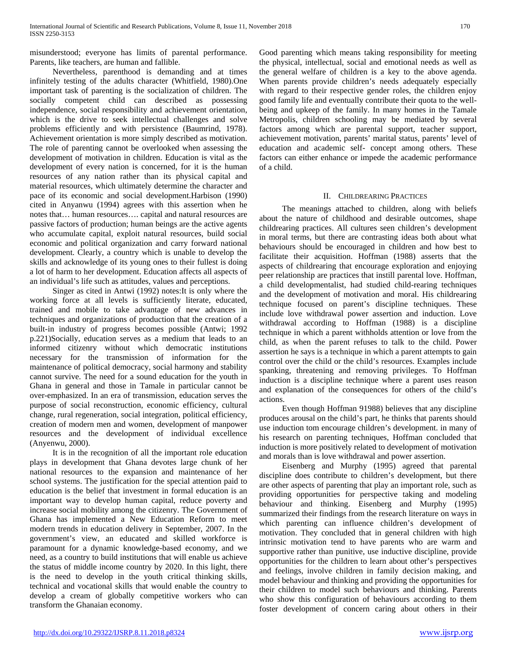misunderstood; everyone has limits of parental performance. Parents, like teachers, are human and fallible.

 Nevertheless, parenthood is demanding and at times infinitely testing of the adults character (Whitfield, 1980).One important task of parenting is the socialization of children. The socially competent child can described as possessing independence, social responsibility and achievement orientation, which is the drive to seek intellectual challenges and solve problems efficiently and with persistence (Baumrind, 1978). Achievement orientation is more simply described as motivation. The role of parenting cannot be overlooked when assessing the development of motivation in children. Education is vital as the development of every nation is concerned, for it is the human resources of any nation rather than its physical capital and material resources, which ultimately determine the character and pace of its economic and social development.Harbison (1990) cited in Anyanwu (1994) agrees with this assertion when he notes that… human resources…. capital and natural resources are passive factors of production; human beings are the active agents who accumulate capital, exploit natural resources, build social economic and political organization and carry forward national development. Clearly, a country which is unable to develop the skills and acknowledge of its young ones to their fullest is doing a lot of harm to her development. Education affects all aspects of an individual's life such as attitudes, values and perceptions.

 Singer as cited in Antwi (1992) notes:It is only where the working force at all levels is sufficiently literate, educated, trained and mobile to take advantage of new advances in techniques and organizations of production that the creation of a built-in industry of progress becomes possible (Antwi; 1992 p.221)Socially, education serves as a medium that leads to an informed citizenry without which democratic institutions necessary for the transmission of information for the maintenance of political democracy, social harmony and stability cannot survive. The need for a sound education for the youth in Ghana in general and those in Tamale in particular cannot be over-emphasized. In an era of transmission, education serves the purpose of social reconstruction, economic efficiency, cultural change, rural regeneration, social integration, political efficiency, creation of modern men and women, development of manpower resources and the development of individual excellence (Anyenwu, 2000).

 It is in the recognition of all the important role education plays in development that Ghana devotes large chunk of her national resources to the expansion and maintenance of her school systems. The justification for the special attention paid to education is the belief that investment in formal education is an important way to develop human capital, reduce poverty and increase social mobility among the citizenry. The Government of Ghana has implemented a New Education Reform to meet modern trends in education delivery in September, 2007. In the government's view, an educated and skilled workforce is paramount for a dynamic knowledge-based economy, and we need, as a country to build institutions that will enable us achieve the status of middle income country by 2020. In this light, there is the need to develop in the youth critical thinking skills, technical and vocational skills that would enable the country to develop a cream of globally competitive workers who can transform the Ghanaian economy.

Good parenting which means taking responsibility for meeting the physical, intellectual, social and emotional needs as well as the general welfare of children is a key to the above agenda. When parents provide children's needs adequately especially with regard to their respective gender roles, the children enjoy good family life and eventually contribute their quota to the wellbeing and upkeep of the family. In many homes in the Tamale Metropolis, children schooling may be mediated by several factors among which are parental support, teacher support, achievement motivation, parents' marital status, parents' level of education and academic self- concept among others. These factors can either enhance or impede the academic performance of a child.

# II. CHILDREARING PRACTICES

 The meanings attached to children, along with beliefs about the nature of childhood and desirable outcomes, shape childrearing practices. All cultures seen children's development in moral terms, but there are contrasting ideas both about what behaviours should be encouraged in children and how best to facilitate their acquisition. Hoffman (1988) asserts that the aspects of childrearing that encourage exploration and enjoying peer relationship are practices that instill parental love. Hoffman, a child developmentalist, had studied child-rearing techniques and the development of motivation and moral. His childrearing technique focused on parent's discipline techniques. These include love withdrawal power assertion and induction. Love withdrawal according to Hoffman (1988) is a discipline technique in which a parent withholds attention or love from the child, as when the parent refuses to talk to the child. Power assertion he says is a technique in which a parent attempts to gain control over the child or the child's resources. Examples include spanking, threatening and removing privileges. To Hoffman induction is a discipline technique where a parent uses reason and explanation of the consequences for others of the child's actions.

 Even though Hoffman 91988) believes that any discipline produces arousal on the child's part, he thinks that parents should use induction tom encourage children's development. in many of his research on parenting techniques, Hoffman concluded that induction is more positively related to development of motivation and morals than is love withdrawal and power assertion.

 Eisenberg and Murphy (1995) agreed that parental discipline does contribute to children's development, but there are other aspects of parenting that play an important role, such as providing opportunities for perspective taking and modeling behaviour and thinking. Eisenberg and Murphy (1995) summarized their findings from the research literature on ways in which parenting can influence children's development of motivation. They concluded that in general children with high intrinsic motivation tend to have parents who are warm and supportive rather than punitive, use inductive discipline, provide opportunities for the children to learn about other's perspectives and feelings, involve children in family decision making, and model behaviour and thinking and providing the opportunities for their children to model such behaviours and thinking. Parents who show this configuration of behaviours according to them foster development of concern caring about others in their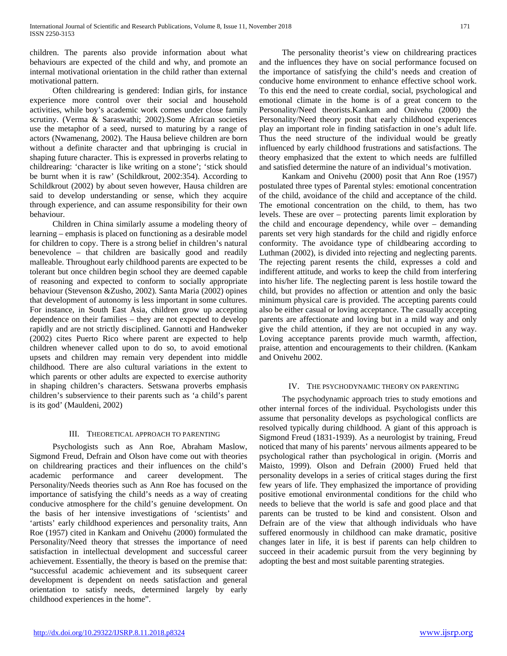children. The parents also provide information about what behaviours are expected of the child and why, and promote an internal motivational orientation in the child rather than external motivational pattern.

 Often childrearing is gendered: Indian girls, for instance experience more control over their social and household activities, while boy's academic work comes under close family scrutiny. (Verma & Saraswathi; 2002).Some African societies use the metaphor of a seed, nursed to maturing by a range of actors (Nwamenang, 2002). The Hausa believe children are born without a definite character and that upbringing is crucial in shaping future character. This is expressed in proverbs relating to childrearing: 'character is like writing on a stone'; 'stick should be burnt when it is raw' (Schildkrout, 2002:354). According to Schildkrout (2002) by about seven however, Hausa children are said to develop understanding or sense, which they acquire through experience, and can assume responsibility for their own behaviour.

 Children in China similarly assume a modeling theory of learning – emphasis is placed on functioning as a desirable model for children to copy. There is a strong belief in children's natural benevolence – that children are basically good and readily malleable. Throughout early childhood parents are expected to be tolerant but once children begin school they are deemed capable of reasoning and expected to conform to socially appropriate behaviour (Stevenson &Zusho, 2002). Santa Maria (2002) opines that development of autonomy is less important in some cultures. For instance, in South East Asia, children grow up accepting dependence on their families – they are not expected to develop rapidly and are not strictly disciplined. Gannotti and Handweker (2002) cites Puerto Rico where parent are expected to help children whenever called upon to do so, to avoid emotional upsets and children may remain very dependent into middle childhood. There are also cultural variations in the extent to which parents or other adults are expected to exercise authority in shaping children's characters. Setswana proverbs emphasis children's subservience to their parents such as 'a child's parent is its god' (Mauldeni, 2002)

#### III. THEORETICAL APPROACH TO PARENTING

 Psychologists such as Ann Roe, Abraham Maslow, Sigmond Freud, Defrain and Olson have come out with theories on childrearing practices and their influences on the child's academic performance and career development. The Personality/Needs theories such as Ann Roe has focused on the importance of satisfying the child's needs as a way of creating conducive atmosphere for the child's genuine development. On the basis of her intensive investigations of 'scientists' and 'artists' early childhood experiences and personality traits, Ann Roe (1957) cited in Kankam and Onivehu (2000) formulated the Personality/Need theory that stresses the importance of need satisfaction in intellectual development and successful career achievement. Essentially, the theory is based on the premise that: "successful academic achievement and its subsequent career development is dependent on needs satisfaction and general orientation to satisfy needs, determined largely by early childhood experiences in the home".

 The personality theorist's view on childrearing practices and the influences they have on social performance focused on the importance of satisfying the child's needs and creation of conducive home environment to enhance effective school work. To this end the need to create cordial, social, psychological and emotional climate in the home is of a great concern to the Personality/Need theorists.Kankam and Onivehu (2000) the Personality/Need theory posit that early childhood experiences play an important role in finding satisfaction in one's adult life. Thus the need structure of the individual would be greatly influenced by early childhood frustrations and satisfactions. The theory emphasized that the extent to which needs are fulfilled and satisfied determine the nature of an individual's motivation.

 Kankam and Onivehu (2000) posit that Ann Roe (1957) postulated three types of Parental styles: emotional concentration of the child, avoidance of the child and acceptance of the child. The emotional concentration on the child, to them, has two levels. These are over – protecting parents limit exploration by the child and encourage dependency, while over – demanding parents set very high standards for the child and rigidly enforce conformity. The avoidance type of childbearing according to Luthman (2002), is divided into rejecting and neglecting parents. The rejecting parent resents the child, expresses a cold and indifferent attitude, and works to keep the child from interfering into his/her life. The neglecting parent is less hostile toward the child, but provides no affection or attention and only the basic minimum physical care is provided. The accepting parents could also be either casual or loving acceptance. The casually accepting parents are affectionate and loving but in a mild way and only give the child attention, if they are not occupied in any way. Loving acceptance parents provide much warmth, affection, praise, attention and encouragements to their children. (Kankam and Onivehu 2002.

#### IV. THE PSYCHODYNAMIC THEORY ON PARENTING

 The psychodynamic approach tries to study emotions and other internal forces of the individual. Psychologists under this assume that personality develops as psychological conflicts are resolved typically during childhood. A giant of this approach is Sigmond Freud (1831-1939). As a neurologist by training, Freud noticed that many of his parents' nervous ailments appeared to be psychological rather than psychological in origin. (Morris and Maisto, 1999). Olson and Defrain (2000) Frued held that personality develops in a series of critical stages during the first few years of life. They emphasized the importance of providing positive emotional environmental conditions for the child who needs to believe that the world is safe and good place and that parents can be trusted to be kind and consistent. Olson and Defrain are of the view that although individuals who have suffered enormously in childhood can make dramatic, positive changes later in life, it is best if parents can help children to succeed in their academic pursuit from the very beginning by adopting the best and most suitable parenting strategies.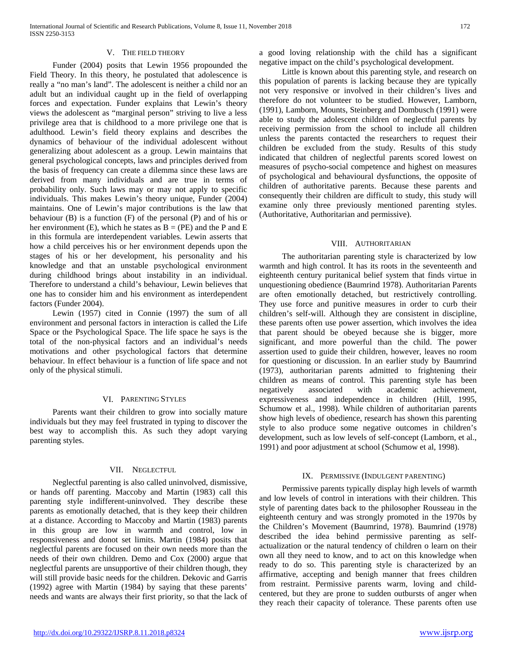#### V. THE FIELD THEORY

 Funder (2004) posits that Lewin 1956 propounded the Field Theory. In this theory, he postulated that adolescence is really a "no man's land". The adolescent is neither a child nor an adult but an individual caught up in the field of overlapping forces and expectation. Funder explains that Lewin's theory views the adolescent as "marginal person" striving to live a less privilege area that is childhood to a more privilege one that is adulthood. Lewin's field theory explains and describes the dynamics of behaviour of the individual adolescent without generalizing about adolescent as a group. Lewin maintains that general psychological concepts, laws and principles derived from the basis of frequency can create a dilemma since these laws are derived from many individuals and are true in terms of probability only. Such laws may or may not apply to specific individuals. This makes Lewin's theory unique, Funder (2004) maintains. One of Lewin's major contributions is the law that behaviour (B) is a function (F) of the personal (P) and of his or her environment (E), which he states as  $B = (PE)$  and the P and E in this formula are interdependent variables. Lewin asserts that how a child perceives his or her environment depends upon the stages of his or her development, his personality and his knowledge and that an unstable psychological environment during childhood brings about instability in an individual. Therefore to understand a child's behaviour, Lewin believes that one has to consider him and his environment as interdependent factors (Funder 2004).

 Lewin (1957) cited in Connie (1997) the sum of all environment and personal factors in interaction is called the Life Space or the Psychological Space. The life space he says is the total of the non-physical factors and an individual's needs motivations and other psychological factors that determine behaviour. In effect behaviour is a function of life space and not only of the physical stimuli.

#### VI. PARENTING STYLES

 Parents want their children to grow into socially mature individuals but they may feel frustrated in typing to discover the best way to accomplish this. As such they adopt varying parenting styles.

#### VII. NEGLECTFUL

 Neglectful parenting is also called uninvolved, dismissive, or hands off parenting. Maccoby and Martin (1983) call this parenting style indifferent-uninvolved. They describe these parents as emotionally detached, that is they keep their children at a distance. According to Maccoby and Martin (1983) parents in this group are low in warmth and control, low in responsiveness and donot set limits. Martin (1984) posits that neglectful parents are focused on their own needs more than the needs of their own children. Demo and Cox (2000) argue that neglectful parents are unsupportive of their children though, they will still provide basic needs for the children. Dekovic and Garris (1992) agree with Martin (1984) by saying that these parents' needs and wants are always their first priority, so that the lack of

a good loving relationship with the child has a significant negative impact on the child's psychological development.

 Little is known about this parenting style, and research on this population of parents is lacking because they are typically not very responsive or involved in their children's lives and therefore do not volunteer to be studied. However, Lamborn, (1991), Lamborn, Mounts, Steinberg and Dombusch (1991) were able to study the adolescent children of neglectful parents by receiving permission from the school to include all children unless the parents contacted the researchers to request their children be excluded from the study. Results of this study indicated that children of neglectful parents scored lowest on measures of psycho-social competence and highest on measures of psychological and behavioural dysfunctions, the opposite of children of authoritative parents. Because these parents and consequently their children are difficult to study, this study will examine only three previously mentioned parenting styles. (Authoritative, Authoritarian and permissive).

#### VIII. AUTHORITARIAN

 The authoritarian parenting style is characterized by low warmth and high control. It has its roots in the seventeenth and eighteenth century puritanical belief system that finds virtue in unquestioning obedience (Baumrind 1978). Authoritarian Parents are often emotionally detached, but restrictively controlling. They use force and punitive measures in order to curb their children's self-will. Although they are consistent in discipline, these parents often use power assertion, which involves the idea that parent should be obeyed because she is bigger, more significant, and more powerful than the child. The power assertion used to guide their children, however, leaves no room for questioning or discussion. In an earlier study by Baumrind (1973), authoritarian parents admitted to frightening their children as means of control. This parenting style has been negatively associated with academic achievement, expressiveness and independence in children (Hill, 1995, Schumow et al., 1998). While children of authoritarian parents show high levels of obedience, research has shown this parenting style to also produce some negative outcomes in children's development, such as low levels of self-concept (Lamborn, et al., 1991) and poor adjustment at school (Schumow et al, 1998).

#### IX. PERMISSIVE (INDULGENT PARENTING)

 Permissive parents typically display high levels of warmth and low levels of control in interations with their children. This style of parenting dates back to the philosopher Rousseau in the eighteenth century and was strongly promoted in the 1970s by the Children's Movement (Baumrind, 1978). Baumrind (1978) described the idea behind permissive parenting as selfactualization or the natural tendency of children o learn on their own all they need to know, and to act on this knowledge when ready to do so. This parenting style is characterized by an affirmative, accepting and benigh manner that frees children from restraint. Permissive parents warm, loving and childcentered, but they are prone to sudden outbursts of anger when they reach their capacity of tolerance. These parents often use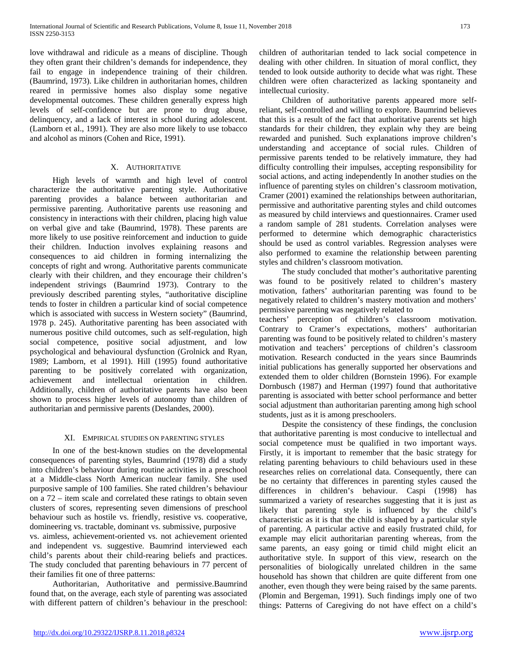love withdrawal and ridicule as a means of discipline. Though they often grant their children's demands for independence, they fail to engage in independence training of their children. (Baumrind, 1973). Like children in authoritarian homes, children reared in permissive homes also display some negative developmental outcomes. These children generally express high levels of self-confidence but are prone to drug abuse, delinquency, and a lack of interest in school during adolescent. (Lamborn et al., 1991). They are also more likely to use tobacco and alcohol as minors (Cohen and Rice, 1991).

#### X. AUTHORITATIVE

 High levels of warmth and high level of control characterize the authoritative parenting style. Authoritative parenting provides a balance between authoritarian and permissive parenting. Authoritative parents use reasoning and consistency in interactions with their children, placing high value on verbal give and take (Baumrind, 1978). These parents are more likely to use positive reinforcement and induction to guide their children. Induction involves explaining reasons and consequences to aid children in forming internalizing the concepts of right and wrong. Authoritative parents communicate clearly with their children, and they encourage their children's independent strivings (Baumrind 1973). Contrary to the previously described parenting styles, "authoritative discipline tends to foster in children a particular kind of social competence which is associated with success in Western society" (Baumrind, 1978 p. 245). Authoritative parenting has been associated with numerous positive child outcomes, such as self-regulation, high social competence, positive social adjustment, and low psychological and behavioural dysfunction (Grolnick and Ryan, 1989; Lamborn, et al 1991). Hill (1995) found authoritative parenting to be positively correlated with organization, achievement and intellectual orientation in children. Additionally, children of authoritative parents have also been shown to process higher levels of autonomy than children of authoritarian and permissive parents (Deslandes, 2000).

#### XI. EMPIRICAL STUDIES ON PARENTING STYLES

 In one of the best-known studies on the developmental consequences of parenting styles, Baumrind (1978) did a study into children's behaviour during routine activities in a preschool at a Middle-class North American nuclear family. She used purposive sample of 100 families. She rated children's behaviour on a 72 – item scale and correlated these ratings to obtain seven clusters of scores, representing seven dimensions of preschool behaviour such as hostile vs. friendly, resistive vs. cooperative, domineering vs. tractable, dominant vs. submissive, purposive vs. aimless, achievement-oriented vs. not achievement oriented and independent vs. suggestive. Baumrind interviewed each child's parents about their child-rearing beliefs and practices. The study concluded that parenting behaviours in 77 percent of their families fit one of three patterns:

 Authoritarian, Authoritative and permissive.Baumrind found that, on the average, each style of parenting was associated with different pattern of children's behaviour in the preschool: children of authoritarian tended to lack social competence in dealing with other children. In situation of moral conflict, they tended to look outside authority to decide what was right. These children were often characterized as lacking spontaneity and intellectual curiosity.

 Children of authoritative parents appeared more selfreliant, self-controlled and willing to explore. Baumrind believes that this is a result of the fact that authoritative parents set high standards for their children, they explain why they are being rewarded and punished. Such explanations improve children's understanding and acceptance of social rules. Children of permissive parents tended to be relatively immature, they had difficulty controlling their impulses, accepting responsibility for social actions, and acting independently In another studies on the influence of parenting styles on children's classroom motivation, Cramer (2001) examined the relationships between authoritarian, permissive and authoritative parenting styles and child outcomes as measured by child interviews and questionnaires. Cramer used a random sample of 281 students. Correlation analyses were performed to determine which demographic characteristics should be used as control variables. Regression analyses were also performed to examine the relationship between parenting styles and children's classroom motivation.

 The study concluded that mother's authoritative parenting was found to be positively related to children's mastery motivation, fathers' authoritarian parenting was found to be negatively related to children's mastery motivation and mothers' permissive parenting was negatively related to

teachers' perception of children's classroom motivation. Contrary to Cramer's expectations, mothers' authoritarian parenting was found to be positively related to children's mastery motivation and teachers' perceptions of children's classroom motivation. Research conducted in the years since Baumrinds initial publications has generally supported her observations and extended them to older children (Bornstein 1996). For example Dornbusch (1987) and Herman (1997) found that authoritative parenting is associated with better school performance and better social adjustment than authoritarian parenting among high school students, just as it is among preschoolers.

 Despite the consistency of these findings, the conclusion that authoritative parenting is most conducive to intellectual and social competence must be qualified in two important ways. Firstly, it is important to remember that the basic strategy for relating parenting behaviours to child behaviours used in these researches relies on correlational data. Consequently, there can be no certainty that differences in parenting styles caused the differences in children's behaviour. Caspi (1998) has summarized a variety of researches suggesting that it is just as likely that parenting style is influenced by the child's characteristic as it is that the child is shaped by a particular style of parenting. A particular active and easily frustrated child, for example may elicit authoritarian parenting whereas, from the same parents, an easy going or timid child might elicit an authoritative style. In support of this view, research on the personalities of biologically unrelated children in the same household has shown that children are quite different from one another, even though they were being raised by the same parents. (Plomin and Bergeman, 1991). Such findings imply one of two things: Patterns of Caregiving do not have effect on a child's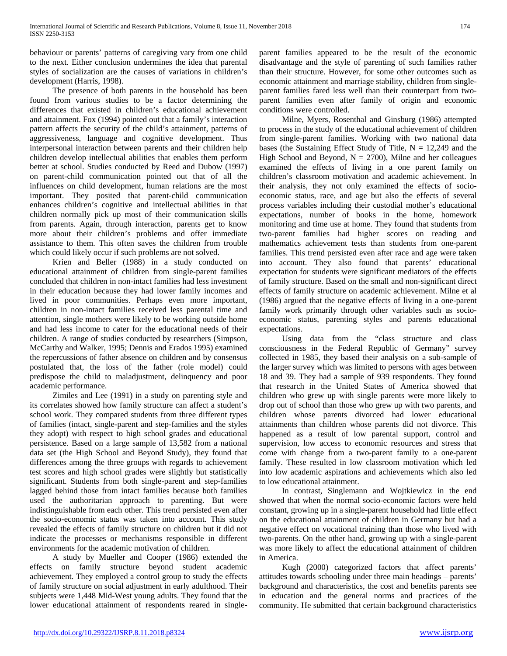behaviour or parents' patterns of caregiving vary from one child to the next. Either conclusion undermines the idea that parental styles of socialization are the causes of variations in children's development (Harris, 1998).

 The presence of both parents in the household has been found from various studies to be a factor determining the differences that existed in children's educational achievement and attainment. Fox (1994) pointed out that a family's interaction pattern affects the security of the child's attainment, patterns of aggressiveness, language and cognitive development. Thus interpersonal interaction between parents and their children help children develop intellectual abilities that enables them perform better at school. Studies conducted by Reed and Dubow (1997) on parent-child communication pointed out that of all the influences on child development, human relations are the most important. They posited that parent-child communication enhances children's cognitive and intellectual abilities in that children normally pick up most of their communication skills from parents. Again, through interaction, parents get to know more about their children's problems and offer immediate assistance to them. This often saves the children from trouble which could likely occur if such problems are not solved.

 Krien and Beller (1988) in a study conducted on educational attainment of children from single-parent families concluded that children in non-intact families had less investment in their education because they had lower family incomes and lived in poor communities. Perhaps even more important, children in non-intact families received less parental time and attention, single mothers were likely to be working outside home and had less income to cater for the educational needs of their children. A range of studies conducted by researchers (Simpson, McCarthy and Walker, 1995; Dennis and Erados 1995) examined the repercussions of father absence on children and by consensus postulated that, the loss of the father (role model) could predispose the child to maladjustment, delinquency and poor academic performance.

 Zimiles and Lee (1991) in a study on parenting style and its correlates showed how family structure can affect a student's school work. They compared students from three different types of families (intact, single-parent and step-families and the styles they adopt) with respect to high school grades and educational persistence. Based on a large sample of 13,582 from a national data set (the High School and Beyond Study), they found that differences among the three groups with regards to achievement test scores and high school grades were slightly but statistically significant. Students from both single-parent and step-families lagged behind those from intact families because both families used the authoritarian approach to parenting. But were indistinguishable from each other. This trend persisted even after the socio-economic status was taken into account. This study revealed the effects of family structure on children but it did not indicate the processes or mechanisms responsible in different environments for the academic motivation of children.

 A study by Mueller and Cooper (1986) extended the effects on family structure beyond student academic achievement. They employed a control group to study the effects of family structure on social adjustment in early adulthood. Their subjects were 1,448 Mid-West young adults. They found that the lower educational attainment of respondents reared in singleparent families appeared to be the result of the economic disadvantage and the style of parenting of such families rather than their structure. However, for some other outcomes such as economic attainment and marriage stability, children from singleparent families fared less well than their counterpart from twoparent families even after family of origin and economic conditions were controlled.

 Milne, Myers, Rosenthal and Ginsburg (1986) attempted to process in the study of the educational achievement of children from single-parent families. Working with two national data bases (the Sustaining Effect Study of Title,  $N = 12,249$  and the High School and Beyond,  $N = 2700$ ), Milne and her colleagues examined the effects of living in a one parent family on children's classroom motivation and academic achievement. In their analysis, they not only examined the effects of socioeconomic status, race, and age but also the effects of several process variables including their custodial mother's educational expectations, number of books in the home, homework monitoring and time use at home. They found that students from two-parent families had higher scores on reading and mathematics achievement tests than students from one-parent families. This trend persisted even after race and age were taken into account. They also found that parents' educational expectation for students were significant mediators of the effects of family structure. Based on the small and non-significant direct effects of family structure on academic achievement. Milne et al (1986) argued that the negative effects of living in a one-parent family work primarily through other variables such as socioeconomic status, parenting styles and parents educational expectations.

 Using data from the "class structure and class consciousness in the Federal Republic of Germany" survey collected in 1985, they based their analysis on a sub-sample of the larger survey which was limited to persons with ages between 18 and 39. They had a sample of 939 respondents. They found that research in the United States of America showed that children who grew up with single parents were more likely to drop out of school than those who grew up with two parents, and children whose parents divorced had lower educational attainments than children whose parents did not divorce. This happened as a result of low parental support, control and supervision, low access to economic resources and stress that come with change from a two-parent family to a one-parent family. These resulted in low classroom motivation which led into low academic aspirations and achievements which also led to low educational attainment.

 In contrast, Singlemann and Wojtkiewicz in the end showed that when the normal socio-economic factors were held constant, growing up in a single-parent household had little effect on the educational attainment of children in Germany but had a negative effect on vocational training than those who lived with two-parents. On the other hand, growing up with a single-parent was more likely to affect the educational attainment of children in America.

 Kugh (2000) categorized factors that affect parents' attitudes towards schooling under three main headings – parents' background and characteristics, the cost and benefits parents see in education and the general norms and practices of the community. He submitted that certain background characteristics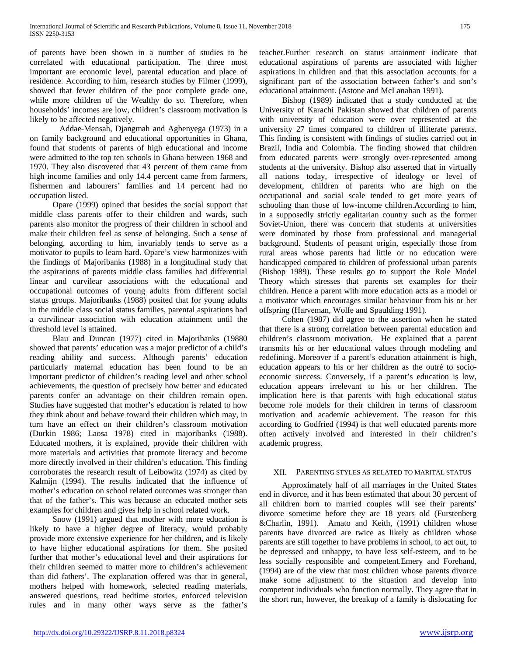of parents have been shown in a number of studies to be correlated with educational participation. The three most important are economic level, parental education and place of residence. According to him, research studies by Filmer (1999), showed that fewer children of the poor complete grade one, while more children of the Wealthy do so. Therefore, when households' incomes are low, children's classroom motivation is likely to be affected negatively.

Addae-Mensah, Djangmah and Agbenyega (1973) in a on family background and educational opportunities in Ghana, found that students of parents of high educational and income were admitted to the top ten schools in Ghana between 1968 and 1970. They also discovered that 43 percent of them came from high income families and only 14.4 percent came from farmers, fishermen and labourers' families and 14 percent had no occupation listed.

 Opare (1999) opined that besides the social support that middle class parents offer to their children and wards, such parents also monitor the progress of their children in school and make their children feel as sense of belonging. Such a sense of belonging, according to him, invariably tends to serve as a motivator to pupils to learn hard. Opare's view harmonizes with the findings of Majoribanks (1988) in a longitudinal study that the aspirations of parents middle class families had differential linear and curvilear associations with the educational and occupational outcomes of young adults from different social status groups. Majoribanks (1988) posited that for young adults in the middle class social status families, parental aspirations had a curvilinear association with education attainment until the threshold level is attained.

 Blau and Duncan (1977) cited in Majoribanks (19880 showed that parents' education was a major predictor of a child's reading ability and success. Although parents' education particularly maternal education has been found to be an important predictor of children's reading level and other school achievements, the question of precisely how better and educated parents confer an advantage on their children remain open. Studies have suggested that mother's education is related to how they think about and behave toward their children which may, in turn have an effect on their children's classroom motivation (Durkin 1986; Laosa 1978) cited in majoribanks (1988). Educated mothers, it is explained, provide their children with more materials and activities that promote literacy and become more directly involved in their children's education. This finding corroborates the research result of Leibowitz (1974) as cited by Kalmijn (1994). The results indicated that the influence of mother's education on school related outcomes was stronger than that of the father's. This was because an educated mother sets examples for children and gives help in school related work.

 Snow (1991) argued that mother with more education is likely to have a higher degree of literacy, would probably provide more extensive experience for her children, and is likely to have higher educational aspirations for them. She posited further that mother's educational level and their aspirations for their children seemed to matter more to children's achievement than did fathers'. The explanation offered was that in general, mothers helped with homework, selected reading materials, answered questions, read bedtime stories, enforced television rules and in many other ways serve as the father's

teacher.Further research on status attainment indicate that educational aspirations of parents are associated with higher aspirations in children and that this association accounts for a significant part of the association between father's and son's educational attainment. (Astone and McLanahan 1991).

 Bishop (1989) indicated that a study conducted at the University of Karachi Pakistan showed that children of parents with university of education were over represented at the university 27 times compared to children of illiterate parents. This finding is consistent with findings of studies carried out in Brazil, India and Colombia. The finding showed that children from educated parents were strongly over-represented among students at the university. Bishop also asserted that in virtually all nations today, irrespective of ideology or level of development, children of parents who are high on the occupational and social scale tended to get more years of schooling than those of low-income children.According to him, in a supposedly strictly egalitarian country such as the former Soviet-Union, there was concern that students at universities were dominated by those from professional and managerial background. Students of peasant origin, especially those from rural areas whose parents had little or no education were handicapped compared to children of professional urban parents (Bishop 1989). These results go to support the Role Model Theory which stresses that parents set examples for their children. Hence a parent with more education acts as a model or a motivator which encourages similar behaviour from his or her offspring (Harveman, Wolfe and Spaulding 1991).

 Cohen (1987) did agree to the assertion when he stated that there is a strong correlation between parental education and children's classroom motivation. He explained that a parent transmits his or her educational values through modeling and redefining. Moreover if a parent's education attainment is high, education appears to his or her children as the outré to socioeconomic success. Conversely, if a parent's education is low, education appears irrelevant to his or her children. The implication here is that parents with high educational status become role models for their children in terms of classroom motivation and academic achievement. The reason for this according to Godfried (1994) is that well educated parents more often actively involved and interested in their children's academic progress.

#### XII. PARENTING STYLES AS RELATED TO MARITAL STATUS

 Approximately half of all marriages in the United States end in divorce, and it has been estimated that about 30 percent of all children born to married couples will see their parents' divorce sometime before they are 18 years old (Furstenberg &Charlin, 1991). Amato and Keith, (1991) children whose parents have divorced are twice as likely as children whose parents are still together to have problems in school, to act out, to be depressed and unhappy, to have less self-esteem, and to be less socially responsible and competent.Emery and Forehand, (1994) are of the view that most children whose parents divorce make some adjustment to the situation and develop into competent individuals who function normally. They agree that in the short run, however, the breakup of a family is dislocating for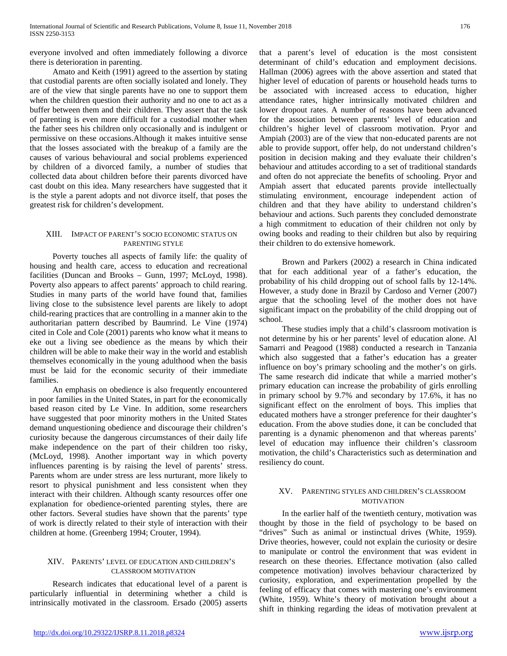everyone involved and often immediately following a divorce there is deterioration in parenting.

 Amato and Keith (1991) agreed to the assertion by stating that custodial parents are often socially isolated and lonely. They are of the view that single parents have no one to support them when the children question their authority and no one to act as a buffer between them and their children. They assert that the task of parenting is even more difficult for a custodial mother when the father sees his children only occasionally and is indulgent or permissive on these occasions.Although it makes intuitive sense that the losses associated with the breakup of a family are the causes of various behavioural and social problems experienced by children of a divorced family, a number of studies that collected data about children before their parents divorced have cast doubt on this idea. Many researchers have suggested that it is the style a parent adopts and not divorce itself, that poses the greatest risk for children's development.

#### XIII. IMPACT OF PARENT'S SOCIO ECONOMIC STATUS ON PARENTING STYLE

 Poverty touches all aspects of family life: the quality of housing and health care, access to education and recreational facilities (Duncan and Brooks – Gunn, 1997; McLoyd, 1998). Poverty also appears to affect parents' approach to child rearing. Studies in many parts of the world have found that, families living close to the subsistence level parents are likely to adopt child-rearing practices that are controlling in a manner akin to the authoritarian pattern described by Baumrind. Le Vine (1974) cited in Cole and Cole (2001) parents who know what it means to eke out a living see obedience as the means by which their children will be able to make their way in the world and establish themselves economically in the young adulthood when the basis must be laid for the economic security of their immediate families.

 An emphasis on obedience is also frequently encountered in poor families in the United States, in part for the economically based reason cited by Le Vine. In addition, some researchers have suggested that poor minority mothers in the United States demand unquestioning obedience and discourage their children's curiosity because the dangerous circumstances of their daily life make independence on the part of their children too risky, (McLoyd, 1998). Another important way in which poverty influences parenting is by raising the level of parents' stress. Parents whom are under stress are less nurturant, more likely to resort to physical punishment and less consistent when they interact with their children. Although scanty resources offer one explanation for obedience-oriented parenting styles, there are other factors. Several studies have shown that the parents' type of work is directly related to their style of interaction with their children at home. (Greenberg 1994; Crouter, 1994).

# XIV. PARENTS' LEVEL OF EDUCATION AND CHILDREN'S CLASSROOM MOTIVATION

 Research indicates that educational level of a parent is particularly influential in determining whether a child is intrinsically motivated in the classroom. Ersado (2005) asserts that a parent's level of education is the most consistent determinant of child's education and employment decisions. Hallman (2006) agrees with the above assertion and stated that higher level of education of parents or household heads turns to be associated with increased access to education, higher attendance rates, higher intrinsically motivated children and lower dropout rates. A number of reasons have been advanced for the association between parents' level of education and children's higher level of classroom motivation. Pryor and Ampiah (2003) are of the view that non-educated parents are not able to provide support, offer help, do not understand children's position in decision making and they evaluate their children's behaviour and attitudes according to a set of traditional standards and often do not appreciate the benefits of schooling. Pryor and Ampiah assert that educated parents provide intellectually stimulating environment, encourage independent action of children and that they have ability to understand children's behaviour and actions. Such parents they concluded demonstrate a high commitment to education of their children not only by owing books and reading to their children but also by requiring their children to do extensive homework.

 Brown and Parkers (2002) a research in China indicated that for each additional year of a father's education, the probability of his child dropping out of school falls by 12-14%. However, a study done in Brazil by Cardoso and Verner (2007) argue that the schooling level of the mother does not have significant impact on the probability of the child dropping out of school.

 These studies imply that a child's classroom motivation is not determine by his or her parents' level of education alone. Al Samarri and Peagood (1988) conducted a research in Tanzania which also suggested that a father's education has a greater influence on boy's primary schooling and the mother's on girls. The same research did indicate that while a married mother's primary education can increase the probability of girls enrolling in primary school by 9.7% and secondary by 17.6%, it has no significant effect on the enrolment of boys. This implies that educated mothers have a stronger preference for their daughter's education. From the above studies done, it can be concluded that parenting is a dynamic phenomenon and that whereas parents' level of education may influence their children's classroom motivation, the child's Characteristics such as determination and resiliency do count.

#### XV. PARENTING STYLES AND CHILDREN'S CLASSROOM **MOTIVATION**

 In the earlier half of the twentieth century, motivation was thought by those in the field of psychology to be based on "drives" Such as animal or instinctual drives (White, 1959). Drive theories, however, could not explain the curiosity or desire to manipulate or control the environment that was evident in research on these theories. Effectance motivation (also called competence motivation) involves behaviour characterized by curiosity, exploration, and experimentation propelled by the feeling of efficacy that comes with mastering one's environment (White, 1959). White's theory of motivation brought about a shift in thinking regarding the ideas of motivation prevalent at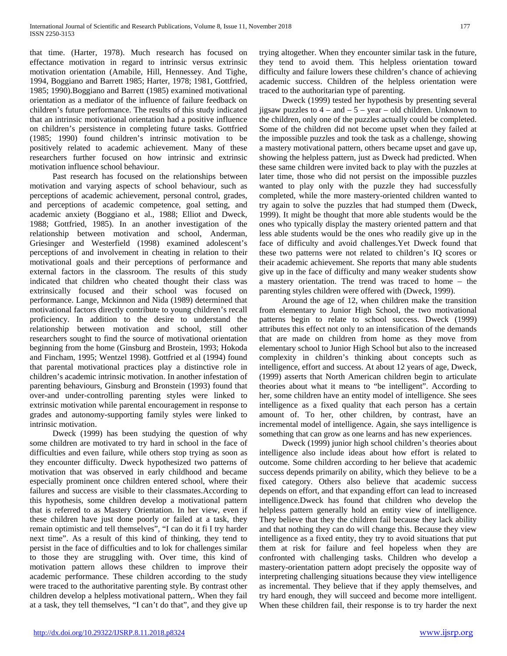that time. (Harter, 1978). Much research has focused on effectance motivation in regard to intrinsic versus extrinsic motivation orientation (Amabile, Hill, Hennessey. And Tighe, 1994, Boggiano and Barrett 1985; Harter, 1978; 1981, Gottfried, 1985; 1990).Boggiano and Barrett (1985) examined motivational orientation as a mediator of the influence of failure feedback on children's future performance. The results of this study indicated that an intrinsic motivational orientation had a positive influence on children's persistence in completing future tasks. Gottfried (1985; 1990) found children's intrinsic motivation to be positively related to academic achievement. Many of these researchers further focused on how intrinsic and extrinsic motivation influence school behaviour.

 Past research has focused on the relationships between motivation and varying aspects of school behaviour, such as perceptions of academic achievement, personal control, grades, and perceptions of academic competence, goal setting, and academic anxiety (Boggiano et al., 1988; Elliot and Dweck, 1988; Gottfried, 1985). In an another investigation of the relationship between motivation and school, Anderman, Griesinger and Westerfield (1998) examined adolescent's perceptions of and involvement in cheating in relation to their motivational goals and their perceptions of performance and external factors in the classroom. The results of this study indicated that children who cheated thought their class was extrinsically focused and their school was focused on performance. Lange, Mckinnon and Nida (1989) determined that motivational factors directly contribute to young children's recall proficiency. In addition to the desire to understand the relationship between motivation and school, still other researchers sought to find the source of motivational orientation beginning from the home (Ginsburg and Brostein, 1993; Hokoda and Fincham, 1995; Wentzel 1998). Gottfried et al (1994) found that parental motivational practices play a distinctive role in children's academic intrinsic motivation. In another infestation of parenting behaviours, Ginsburg and Bronstein (1993) found that over-and under-controlling parenting styles were linked to extrinsic motivation while parental encouragement in response to grades and autonomy-supporting family styles were linked to intrinsic motivation.

 Dweck (1999) has been studying the question of why some children are motivated to try hard in school in the face of difficulties and even failure, while others stop trying as soon as they encounter difficulty. Dweck hypothesized two patterns of motivation that was observed in early childhood and became especially prominent once children entered school, where their failures and success are visible to their classmates.According to this hypothesis, some children develop a motivational pattern that is referred to as Mastery Orientation. In her view, even if these children have just done poorly or failed at a task, they remain optimistic and tell themselves", "I can do it fi I try harder next time". As a result of this kind of thinking, they tend to persist in the face of difficulties and to lok for challenges similar to those they are struggling with. Over time, this kind of motivation pattern allows these children to improve their academic performance. These children according to the study were traced to the authoritative parenting style. By contrast other children develop a helpless motivational pattern,. When they fail at a task, they tell themselves, "I can't do that", and they give up trying altogether. When they encounter similar task in the future, they tend to avoid them. This helpless orientation toward difficulty and failure lowers these children's chance of achieving academic success. Children of the helpless orientation were traced to the authoritarian type of parenting.

 Dweck (1999) tested her hypothesis by presenting several jigsaw puzzles to  $4 - and -5 - year - old children$ . Unknown to the children, only one of the puzzles actually could be completed. Some of the children did not become upset when they failed at the impossible puzzles and took the task as a challenge, showing a mastery motivational pattern, others became upset and gave up, showing the helpless pattern, just as Dweck had predicted. When these same children were invited back to play with the puzzles at later time, those who did not persist on the impossible puzzles wanted to play only with the puzzle they had successfully completed, while the more mastery-oriented children wanted to try again to solve the puzzles that had stumped them (Dweck, 1999). It might be thought that more able students would be the ones who typically display the mastery oriented pattern and that less able students would be the ones who readily give up in the face of difficulty and avoid challenges.Yet Dweck found that these two patterns were not related to children's IQ scores or their academic achievement. She reports that many able students give up in the face of difficulty and many weaker students show a mastery orientation. The trend was traced to home – the parenting styles children were offered with (Dweck, 1999).

 Around the age of 12, when children make the transition from elementary to Junior High School, the two motivational patterns begin to relate to school success. Dweck (1999) attributes this effect not only to an intensification of the demands that are made on children from home as they move from elementary school to Junior High School but also to the increased complexity in children's thinking about concepts such as intelligence, effort and success. At about 12 years of age, Dweck, (1999) asserts that North American children begin to articulate theories about what it means to "be intelligent". According to her, some children have an entity model of intelligence. She sees intelligence as a fixed quality that each person has a certain amount of. To her, other children, by contrast, have an incremental model of intelligence. Again, she says intelligence is something that can grow as one learns and has new experiences.

 Dweck (1999) junior high school children's theories about intelligence also include ideas about how effort is related to outcome. Some children according to her believe that academic success depends primarily on ability, which they believe to be a fixed category. Others also believe that academic success depends on effort, and that expanding effort can lead to increased intelligence.Dweck has found that children who develop the helpless pattern generally hold an entity view of intelligence. They believe that they the children fail because they lack ability and that nothing they can do will change this. Because they view intelligence as a fixed entity, they try to avoid situations that put them at risk for failure and feel hopeless when they are confronted with challenging tasks. Children who develop a mastery-orientation pattern adopt precisely the opposite way of interpreting challenging situations because they view intelligence as incremental. They believe that if they apply themselves, and try hard enough, they will succeed and become more intelligent. When these children fail, their response is to try harder the next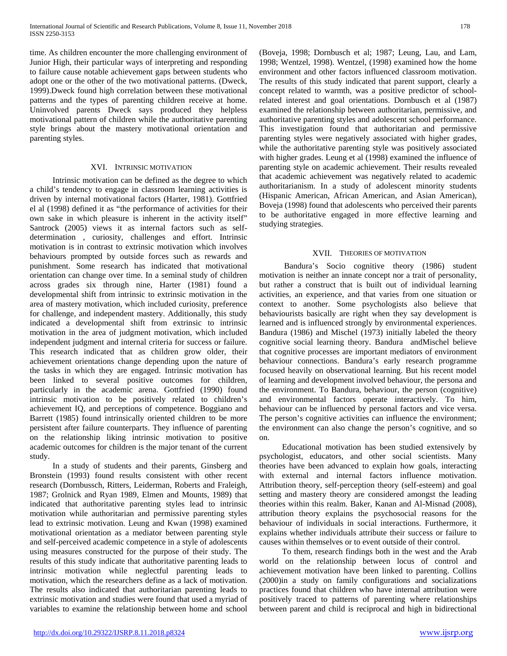time. As children encounter the more challenging environment of Junior High, their particular ways of interpreting and responding to failure cause notable achievement gaps between students who adopt one or the other of the two motivational patterns. (Dweck, 1999).Dweck found high correlation between these motivational patterns and the types of parenting children receive at home. Uninvolved parents Dweck says produced they helpless motivational pattern of children while the authoritative parenting style brings about the mastery motivational orientation and parenting styles.

# XVI. INTRINSIC MOTIVATION

 Intrinsic motivation can be defined as the degree to which a child's tendency to engage in classroom learning activities is driven by internal motivational factors (Harter, 1981). Gottfried el al (1998) defined it as "the performance of activities for their own sake in which pleasure is inherent in the activity itself" Santrock (2005) views it as internal factors such as selfdetermination , curiosity, challenges and effort. Intrinsic motivation is in contrast to extrinsic motivation which involves behaviours prompted by outside forces such as rewards and punishment. Some research has indicated that motivational orientation can change over time. In a seminal study of children across grades six through nine, Harter (1981) found a developmental shift from intrinsic to extrinsic motivation in the area of mastery motivation, which included curiosity, preference for challenge, and independent mastery. Additionally, this study indicated a developmental shift from extrinsic to intrinsic motivation in the area of judgment motivation, which included independent judgment and internal criteria for success or failure. This research indicated that as children grow older, their achievement orientations change depending upon the nature of the tasks in which they are engaged. Intrinsic motivation has been linked to several positive outcomes for children, particularly in the academic arena. Gottfried (1990) found intrinsic motivation to be positively related to children's achievement IQ, and perceptions of competence. Boggiano and Barrett (1985) found intrinsically oriented children to be more persistent after failure counterparts. They influence of parenting on the relationship liking intrinsic motivation to positive academic outcomes for children is the major tenant of the current study.

 In a study of students and their parents, Ginsberg and Bronstein (1993) found results consistent with other recent research (Dornbussch, Ritters, Leiderman, Roberts and Fraleigh, 1987; Grolnick and Ryan 1989, Elmen and Mounts, 1989) that indicated that authoritative parenting styles lead to intrinsic motivation while authoritarian and permissive parenting styles lead to extrinsic motivation. Leung and Kwan (1998) examined motivational orientation as a mediator between parenting style and self-perceived academic competence in a style of adolescents using measures constructed for the purpose of their study. The results of this study indicate that authoritative parenting leads to intrinsic motivation while neglectful parenting leads to motivation, which the researchers define as a lack of motivation. The results also indicated that authoritarian parenting leads to extrinsic motivation and studies were found that used a myriad of variables to examine the relationship between home and school (Boveja, 1998; Dornbusch et al; 1987; Leung, Lau, and Lam, 1998; Wentzel, 1998). Wentzel, (1998) examined how the home environment and other factors influenced classroom motivation. The results of this study indicated that parent support, clearly a concept related to warmth, was a positive predictor of schoolrelated interest and goal orientations. Dornbusch et al (1987) examined the relationship between authoritarian, permissive, and authoritative parenting styles and adolescent school performance. This investigation found that authoritarian and permissive parenting styles were negatively associated with higher grades, while the authoritative parenting style was positively associated with higher grades. Leung et al (1998) examined the influence of parenting style on academic achievement. Their results revealed that academic achievement was negatively related to academic authoritarianism. In a study of adolescent minority students (Hispanic American, African American, and Asian American), Boveja (1998) found that adolescents who perceived their parents to be authoritative engaged in more effective learning and studying strategies.

# XVII. THEORIES OF MOTIVATION

 Bandura's Socio cognitive theory (1986) student motivation is neither an innate concept nor a trait of personality, but rather a construct that is built out of individual learning activities, an experience, and that varies from one situation or context to another. Some psychologists also believe that behaviourists basically are right when they say development is learned and is influenced strongly by environmental experiences. Bandura (1986) and Mischel (1973) initially labeled the theory cognitive social learning theory. Bandura andMischel believe that cognitive processes are important mediators of environment behaviour connections. Bandura's early research programme focused heavily on observational learning. But his recent model of learning and development involved behaviour, the persona and the environment. To Bandura, behaviour, the person (cognitive) and environmental factors operate interactively. To him, behaviour can be influenced by personal factors and vice versa. The person's cognitive activities can influence the environment; the environment can also change the person's cognitive, and so on.

 Educational motivation has been studied extensively by psychologist, educators, and other social scientists. Many theories have been advanced to explain how goals, interacting with external and internal factors influence motivation. Attribution theory, self-perception theory (self-esteem) and goal setting and mastery theory are considered amongst the leading theories within this realm. Baker, Kanan and Al-Misnad (2008), attribution theory explains the psychosocial reasons for the behaviour of individuals in social interactions. Furthermore, it explains whether individuals attribute their success or failure to causes within themselves or to event outside of their control.

 To them, research findings both in the west and the Arab world on the relationship between locus of control and achievement motivation have been linked to parenting. Collins (2000)in a study on family configurations and socializations practices found that children who have internal attribution were positively traced to patterns of parenting where relationships between parent and child is reciprocal and high in bidirectional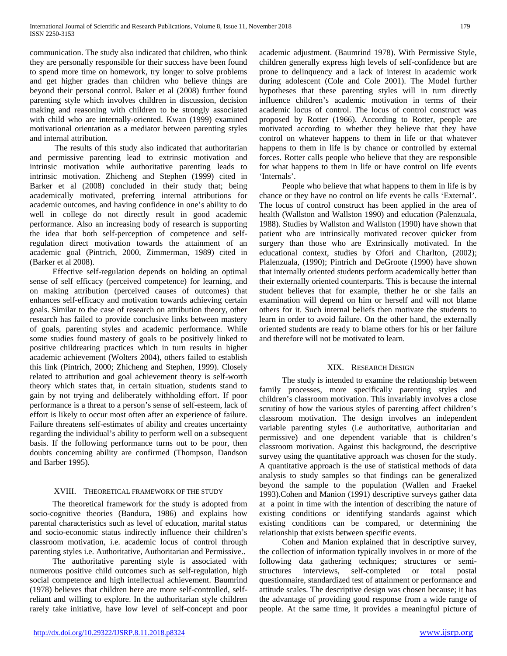communication. The study also indicated that children, who think they are personally responsible for their success have been found to spend more time on homework, try longer to solve problems and get higher grades than children who believe things are beyond their personal control. Baker et al (2008) further found parenting style which involves children in discussion, decision making and reasoning with children to be strongly associated with child who are internally-oriented. Kwan (1999) examined motivational orientation as a mediator between parenting styles and internal attribution.

 The results of this study also indicated that authoritarian and permissive parenting lead to extrinsic motivation and intrinsic motivation while authoritative parenting leads to intrinsic motivation. Zhicheng and Stephen (1999) cited in Barker et al (2008) concluded in their study that; being academically motivated, preferring internal attributions for academic outcomes, and having confidence in one's ability to do well in college do not directly result in good academic performance. Also an increasing body of research is supporting the idea that both self-perception of competence and selfregulation direct motivation towards the attainment of an academic goal (Pintrich, 2000, Zimmerman, 1989) cited in (Barker et al 2008).

 Effective self-regulation depends on holding an optimal sense of self efficacy (perceived competence) for learning, and on making attribution (perceived causes of outcomes) that enhances self-efficacy and motivation towards achieving certain goals. Similar to the case of research on attribution theory, other research has failed to provide conclusive links between mastery of goals, parenting styles and academic performance. While some studies found mastery of goals to be positively linked to positive childrearing practices which in turn results in higher academic achievement (Wolters 2004), others failed to establish this link (Pintrich, 2000; Zhicheng and Stephen, 1999). Closely related to attribution and goal achievement theory is self-worth theory which states that, in certain situation, students stand to gain by not trying and deliberately withholding effort. If poor performance is a threat to a person's sense of self-esteem, lack of effort is likely to occur most often after an experience of failure. Failure threatens self-estimates of ability and creates uncertainty regarding the individual's ability to perform well on a subsequent basis. If the following performance turns out to be poor, then doubts concerning ability are confirmed (Thompson, Dandson and Barber 1995).

#### XVIII. THEORETICAL FRAMEWORK OF THE STUDY

 The theoretical framework for the study is adopted from socio-cognitive theories (Bandura, 1986) and explains how parental characteristics such as level of education, marital status and socio-economic status indirectly influence their children's classroom motivation, i.e. academic locus of control through parenting styles i.e. Authoritative, Authoritarian and Permissive..

 The authoritative parenting style is associated with numerous positive child outcomes such as self-regulation, high social competence and high intellectual achievement. Baumrind (1978) believes that children here are more self-controlled, selfreliant and willing to explore. In the authoritarian style children rarely take initiative, have low level of self-concept and poor academic adjustment. (Baumrind 1978). With Permissive Style, children generally express high levels of self-confidence but are prone to delinquency and a lack of interest in academic work during adolescent (Cole and Cole 2001). The Model further hypotheses that these parenting styles will in turn directly influence children's academic motivation in terms of their academic locus of control. The locus of control construct was proposed by Rotter (1966). According to Rotter, people are motivated according to whether they believe that they have control on whatever happens to them in life or that whatever happens to them in life is by chance or controlled by external forces. Rotter calls people who believe that they are responsible for what happens to them in life or have control on life events 'Internals'.

 People who believe that what happens to them in life is by chance or they have no control on life events he calls 'External'. The locus of control construct has been applied in the area of health (Wallston and Wallston 1990) and education (Palenzuala, 1988). Studies by Wallston and Wallston (1990) have shown that patient who are intrinsically motivated recover quicker from surgery than those who are Extrinsically motivated. In the educational context, studies by Ofori and Charlton, (2002); Plalenzuala, (1990); Pintrich and DeGroote (1990) have shown that internally oriented students perform academically better than their externally oriented counterparts. This is because the internal student believes that for example, thether he or she fails an examination will depend on him or herself and will not blame others for it. Such internal beliefs then motivate the students to learn in order to avoid failure. On the other hand, the externally oriented students are ready to blame others for his or her failure and therefore will not be motivated to learn.

# XIX. RESEARCH DESIGN

 The study is intended to examine the relationship between family processes, more specifically parenting styles and children's classroom motivation. This invariably involves a close scrutiny of how the various styles of parenting affect children's classroom motivation. The design involves an independent variable parenting styles (i.e authoritative, authoritarian and permissive) and one dependent variable that is children's classroom motivation. Against this background, the descriptive survey using the quantitative approach was chosen for the study. A quantitative approach is the use of statistical methods of data analysis to study samples so that findings can be generalized beyond the sample to the population (Wallen and Fraekel 1993).Cohen and Manion (1991) descriptive surveys gather data at a point in time with the intention of describing the nature of existing conditions or identifying standards against which existing conditions can be compared, or determining the relationship that exists between specific events.

 Cohen and Manion explained that in descriptive survey, the collection of information typically involves in or more of the following data gathering techniques; structures or semistructures interviews, self-completed or total postal questionnaire, standardized test of attainment or performance and attitude scales. The descriptive design was chosen because; it has the advantage of providing good response from a wide range of people. At the same time, it provides a meaningful picture of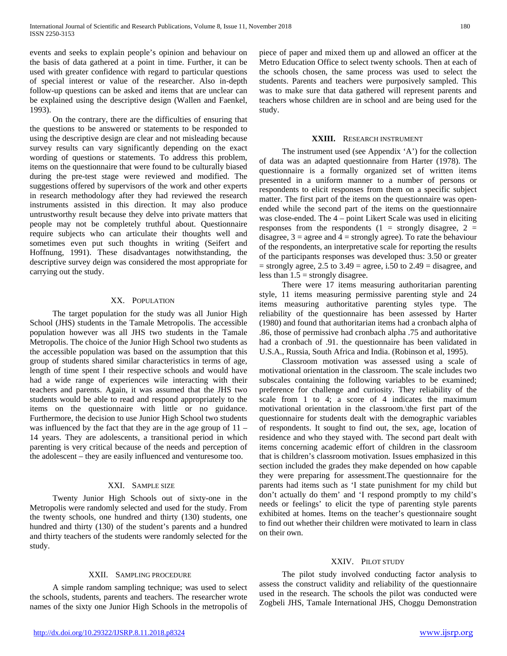events and seeks to explain people's opinion and behaviour on the basis of data gathered at a point in time. Further, it can be used with greater confidence with regard to particular questions of special interest or value of the researcher. Also in-depth follow-up questions can be asked and items that are unclear can be explained using the descriptive design (Wallen and Faenkel, 1993).

 On the contrary, there are the difficulties of ensuring that the questions to be answered or statements to be responded to using the descriptive design are clear and not misleading because survey results can vary significantly depending on the exact wording of questions or statements. To address this problem, items on the questionnaire that were found to be culturally biased during the pre-test stage were reviewed and modified. The suggestions offered by supervisors of the work and other experts in research methodology after they had reviewed the research instruments assisted in this direction. It may also produce untrustworthy result because they delve into private matters that people may not be completely truthful about. Questionnaire require subjects who can articulate their thoughts well and sometimes even put such thoughts in writing (Seifert and Hoffnung, 1991). These disadvantages notwithstanding, the descriptive survey deign was considered the most appropriate for carrying out the study.

# XX. POPULATION

 The target population for the study was all Junior High School (JHS) students in the Tamale Metropolis. The accessible population however was all JHS two students in the Tamale Metropolis. The choice of the Junior High School two students as the accessible population was based on the assumption that this group of students shared similar characteristics in terms of age, length of time spent I their respective schools and would have had a wide range of experiences wile interacting with their teachers and parents. Again, it was assumed that the JHS two students would be able to read and respond appropriately to the items on the questionnaire with little or no guidance. Furthermore, the decision to use Junior High School two students was influenced by the fact that they are in the age group of 11 – 14 years. They are adolescents, a transitional period in which parenting is very critical because of the needs and perception of the adolescent – they are easily influenced and venturesome too.

#### XXI. SAMPLE SIZE

 Twenty Junior High Schools out of sixty-one in the Metropolis were randomly selected and used for the study. From the twenty schools, one hundred and thirty (130) students, one hundred and thirty (130) of the student's parents and a hundred and thirty teachers of the students were randomly selected for the study.

#### XXII. SAMPLING PROCEDURE

 A simple random sampling technique; was used to select the schools, students, parents and teachers. The researcher wrote names of the sixty one Junior High Schools in the metropolis of piece of paper and mixed them up and allowed an officer at the Metro Education Office to select twenty schools. Then at each of the schools chosen, the same process was used to select the students. Parents and teachers were purposively sampled. This was to make sure that data gathered will represent parents and teachers whose children are in school and are being used for the study.

#### **XXIII.** RESEARCH INSTRUMENT

 The instrument used (see Appendix 'A') for the collection of data was an adapted questionnaire from Harter (1978). The questionnaire is a formally organized set of written items presented in a uniform manner to a number of persons or respondents to elicit responses from them on a specific subject matter. The first part of the items on the questionnaire was openended while the second part of the items on the questionnaire was close-ended. The 4 – point Likert Scale was used in eliciting responses from the respondents  $(1 =$  strongly disagree,  $2 =$ disagree,  $3 =$  agree and  $4 =$  strongly agree). To rate the behaviour of the respondents, an interpretative scale for reporting the results of the participants responses was developed thus: 3.50 or greater  $=$  strongly agree, 2.5 to 3.49  $=$  agree, i.50 to 2.49  $=$  disagree, and less than  $1.5$  = strongly disagree.

 There were 17 items measuring authoritarian parenting style, 11 items measuring permissive parenting style and 24 items measuring authoritative parenting styles type. The reliability of the questionnaire has been assessed by Harter (1980) and found that authoritarian items had a cronbach alpha of .86, those of permissive had cronbach alpha .75 and authoritative had a cronbach of .91. the questionnaire has been validated in U.S.A., Russia, South Africa and India. (Robinson et al, 1995).

 Classroom motivation was assessed using a scale of motivational orientation in the classroom. The scale includes two subscales containing the following variables to be examined; preference for challenge and curiosity. They reliability of the scale from 1 to 4; a score of 4 indicates the maximum motivational orientation in the classroom.\the first part of the questionnaire for students dealt with the demographic variables of respondents. It sought to find out, the sex, age, location of residence and who they stayed with. The second part dealt with items concerning academic effort of children in the classroom that is children's classroom motivation. Issues emphasized in this section included the grades they make depended on how capable they were preparing for assessment.The questionnaire for the parents had items such as 'I state punishment for my child but don't actually do them' and 'I respond promptly to my child's needs or feelings' to elicit the type of parenting style parents exhibited at homes. Items on the teacher's questionnaire sought to find out whether their children were motivated to learn in class on their own.

#### XXIV. PILOT STUDY

 The pilot study involved conducting factor analysis to assess the construct validity and reliability of the questionnaire used in the research. The schools the pilot was conducted were Zogbeli JHS, Tamale International JHS, Choggu Demonstration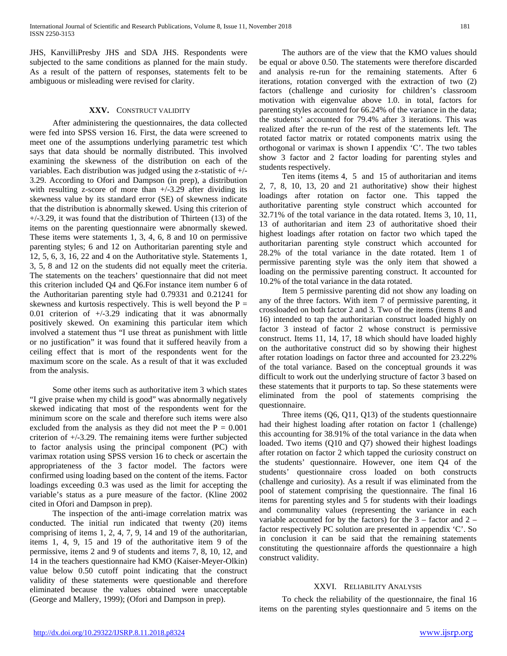JHS, KanvilliPresby JHS and SDA JHS. Respondents were subjected to the same conditions as planned for the main study. As a result of the pattern of responses, statements felt to be ambiguous or misleading were revised for clarity.

#### **XXV.** CONSTRUCT VALIDITY

 After administering the questionnaires, the data collected were fed into SPSS version 16. First, the data were screened to meet one of the assumptions underlying parametric test which says that data should be normally distributed. This involved examining the skewness of the distribution on each of the variables. Each distribution was judged using the z-statistic of +/- 3.29. According to Ofori and Dampson (in prep), a distribution with resulting z-score of more than  $+/-3.29$  after dividing its skewness value by its standard error (SE) of skewness indicate that the distribution is abnormally skewed. Using this criterion of  $+/-3.29$ , it was found that the distribution of Thirteen (13) of the items on the parenting questionnaire were abnormally skewed. These items were statements 1, 3, 4, 6, 8 and 10 on permissive parenting styles; 6 and 12 on Authoritarian parenting style and 12, 5, 6, 3, 16, 22 and 4 on the Authoritative style. Statements 1, 3, 5, 8 and 12 on the students did not equally meet the criteria. The statements on the teachers' questionnaire that did not meet this criterion included Q4 and Q6.For instance item number 6 of the Authoritarian parenting style had 0.79331 and 0.21241 for skewness and kurtosis respectively. This is well beyond the  $P =$ 0.01 criterion of  $+/-3.29$  indicating that it was abnormally positively skewed. On examining this particular item which involved a statement thus "I use threat as punishment with little or no justification" it was found that it suffered heavily from a ceiling effect that is mort of the respondents went for the maximum score on the scale. As a result of that it was excluded from the analysis.

 Some other items such as authoritative item 3 which states "I give praise when my child is good" was abnormally negatively skewed indicating that most of the respondents went for the minimum score on the scale and therefore such items were also excluded from the analysis as they did not meet the  $P = 0.001$ criterion of +/-3.29. The remaining items were further subjected to factor analysis using the principal component (PC) with varimax rotation using SPSS version 16 to check or ascertain the appropriateness of the 3 factor model. The factors were confirmed using loading based on the content of the items. Factor loadings exceeding 0.3 was used as the limit for accepting the variable's status as a pure measure of the factor. (Kline 2002 cited in Ofori and Dampson in prep).

 The inspection of the anti-image correlation matrix was conducted. The initial run indicated that twenty (20) items comprising of items 1, 2, 4, 7, 9, 14 and 19 of the authoritarian, items 1, 4, 9, 15 and 19 of the authoritative item 9 of the permissive, items 2 and 9 of students and items 7, 8, 10, 12, and 14 in the teachers questionnaire had KMO (Kaiser-Meyer-Olkin) value below 0.50 cutoff point indicating that the construct validity of these statements were questionable and therefore eliminated because the values obtained were unacceptable (George and Mallery, 1999); (Ofori and Dampson in prep).

 The authors are of the view that the KMO values should be equal or above 0.50. The statements were therefore discarded and analysis re-run for the remaining statements. After 6 iterations, rotation converged with the extraction of two (2) factors (challenge and curiosity for children's classroom motivation with eigenvalue above 1.0. in total, factors for parenting styles accounted for 66.24% of the variance in the data; the students' accounted for 79.4% after 3 iterations. This was realized after the re-run of the rest of the statements left. The rotated factor matrix or rotated components matrix using the orthogonal or varimax is shown I appendix 'C'. The two tables show 3 factor and 2 factor loading for parenting styles and students respectively.

 Ten items (items 4, 5 and 15 of authoritarian and items 2, 7, 8, 10, 13, 20 and 21 authoritative) show their highest loadings after rotation on factor one. This tapped the authoritative parenting style construct which accounted for 32.71% of the total variance in the data rotated. Items 3, 10, 11, 13 of authoritarian and item 23 of authoritative shoed their highest loadings after rotation on factor two which taped the authoritarian parenting style construct which accounted for 28.2% of the total variance in the date rotated. Item 1 of permissive parenting style was the only item that showed a loading on the permissive parenting construct. It accounted for 10.2% of the total variance in the data rotated.

 Item 5 permissive parenting did not show any loading on any of the three factors. With item 7 of permissive parenting, it crossloaded on both factor 2 and 3. Two of the items (items 8 and 16) intended to tap the authoritarian construct loaded highly on factor 3 instead of factor 2 whose construct is permissive construct. Items 11, 14, 17, 18 which should have loaded highly on the authoritative construct did so by showing their highest after rotation loadings on factor three and accounted for 23.22% of the total variance. Based on the conceptual grounds it was difficult to work out the underlying structure of factor 3 based on these statements that it purports to tap. So these statements were eliminated from the pool of statements comprising the questionnaire.

 Three items (Q6, Q11, Q13) of the students questionnaire had their highest loading after rotation on factor 1 (challenge) this accounting for 38.91% of the total variance in the data when loaded. Two items (Q10 and Q7) showed their highest loadings after rotation on factor 2 which tapped the curiosity construct on the students' questionnaire. However, one item Q4 of the students' questionnaire cross loaded on both constructs (challenge and curiosity). As a result if was eliminated from the pool of statement comprising the questionnaire. The final 16 items for parenting styles and 5 for students with their loadings and communality values (representing the variance in each variable accounted for by the factors) for the  $3 -$  factor and  $2$ factor respectively PC solution are presented in appendix 'C'. So in conclusion it can be said that the remaining statements constituting the questionnaire affords the questionnaire a high construct validity.

#### XXVI. RELIABILITY ANALYSIS

 To check the reliability of the questionnaire, the final 16 items on the parenting styles questionnaire and 5 items on the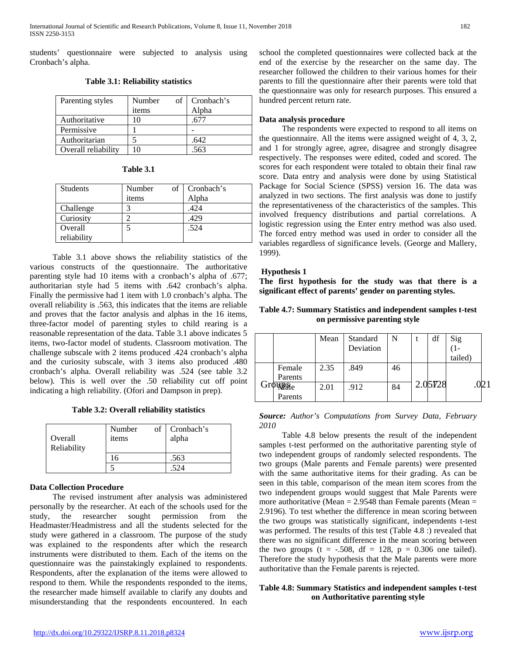students' questionnaire were subjected to analysis using Cronbach's alpha.

**Table 3.1: Reliability statistics**

| Parenting styles    | Number<br>items | of Cronbach's<br>Alpha |
|---------------------|-----------------|------------------------|
| Authoritative       |                 |                        |
| Permissive          |                 |                        |
| Authoritarian       |                 | .642                   |
| Overall reliability |                 | -563                   |

| <b>Table 3.1</b> |  |
|------------------|--|
|------------------|--|

| <b>Students</b> | of<br>Number | Cronbach's |
|-----------------|--------------|------------|
|                 | items        | Alpha      |
| Challenge       |              | .424       |
| Curiosity       |              | .429       |
| Overall         |              | .524       |
| reliability     |              |            |

 Table 3.1 above shows the reliability statistics of the various constructs of the questionnaire. The authoritative parenting style had 10 items with a cronbach's alpha of .677; authoritarian style had 5 items with .642 cronbach's alpha. Finally the permissive had 1 item with 1.0 cronbach's alpha. The overall reliability is .563, this indicates that the items are reliable and proves that the factor analysis and alphas in the 16 items, three-factor model of parenting styles to child rearing is a reasonable representation of the data. Table 3.1 above indicates 5 items, two-factor model of students. Classroom motivation. The challenge subscale with 2 items produced .424 cronbach's alpha and the curiosity subscale, with 3 items also produced .480 cronbach's alpha. Overall reliability was .524 (see table 3.2 below). This is well over the .50 reliability cut off point indicating a high reliability. (Ofori and Dampson in prep).

**Table 3.2: Overall reliability statistics**

| Overall<br>Reliability | Number<br>items | of   Cronbach's<br>alpha |
|------------------------|-----------------|--------------------------|
|                        |                 | .563                     |
|                        |                 | 524                      |

# **Data Collection Procedure**

 The revised instrument after analysis was administered personally by the researcher. At each of the schools used for the study, the researcher sought permission from the Headmaster/Headmistress and all the students selected for the study were gathered in a classroom. The purpose of the study was explained to the respondents after which the research instruments were distributed to them. Each of the items on the questionnaire was the painstakingly explained to respondents. Respondents, after the explanation of the items were allowed to respond to them. While the respondents responded to the items, the researcher made himself available to clarify any doubts and misunderstanding that the respondents encountered. In each school the completed questionnaires were collected back at the end of the exercise by the researcher on the same day. The researcher followed the children to their various homes for their parents to fill the questionnaire after their parents were told that the questionnaire was only for research purposes. This ensured a hundred percent return rate.

# **Data analysis procedure**

 The respondents were expected to respond to all items on the questionnaire. All the items were assigned weight of 4, 3, 2, and 1 for strongly agree, agree, disagree and strongly disagree respectively. The responses were edited, coded and scored. The scores for each respondent were totaled to obtain their final raw score. Data entry and analysis were done by using Statistical Package for Social Science (SPSS) version 16. The data was analyzed in two sections. The first analysis was done to justify the representativeness of the characteristics of the samples. This involved frequency distributions and partial correlations. A logistic regression using the Enter entry method was also used. The forced entry method was used in order to consider all the variables regardless of significance levels. (George and Mallery, 1999).

# **Hypothesis 1**

**The first hypothesis for the study was that there is a significant effect of parents' gender on parenting styles.**

| Table 4.7: Summary Statistics and independent samples t-test |
|--------------------------------------------------------------|
| on permissive parenting style                                |

|                | Mean | Standard<br>Deviation | N  | df      | $\frac{\text{Sig}}{\text{(1-)}}$<br>tailed) |  |
|----------------|------|-----------------------|----|---------|---------------------------------------------|--|
| Female         | 2.35 | .849                  | 46 |         |                                             |  |
| Parents        |      |                       |    |         |                                             |  |
| <b>Win</b> Sie | 2.01 | .912                  | 84 | 2.05728 |                                             |  |
| Parents        |      |                       |    |         |                                             |  |

*Source: Author's Computations from Survey Data, February 2010*

 Table 4.8 below presents the result of the independent samples t-test performed on the authoritative parenting style of two independent groups of randomly selected respondents. The two groups (Male parents and Female parents) were presented with the same authoritative items for their grading. As can be seen in this table, comparison of the mean item scores from the two independent groups would suggest that Male Parents were more authoritative (Mean  $= 2.9548$  than Female parents (Mean  $=$ 2.9196). To test whether the difference in mean scoring between the two groups was statistically significant, independents t-test was performed. The results of this test (Table 4.8 :) revealed that there was no significant difference in the mean scoring between the two groups (t =  $-.508$ , df = 128, p = 0.306 one tailed). Therefore the study hypothesis that the Male parents were more authoritative than the Female parents is rejected.

# **Table 4.8: Summary Statistics and independent samples t-test on Authoritative parenting style**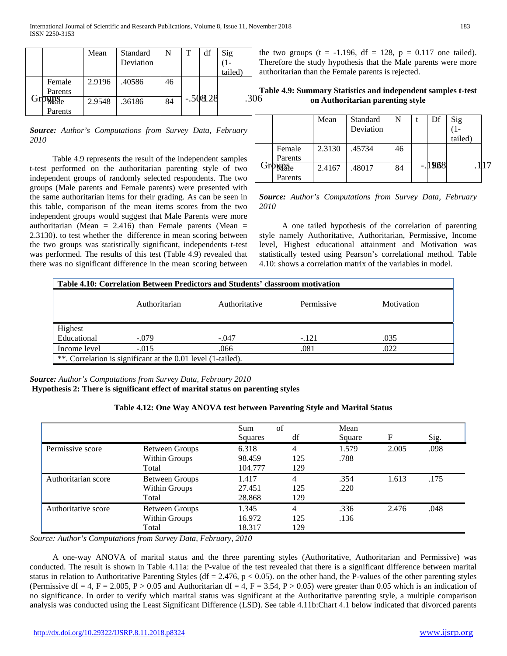|          | Mean   | Standard  |    | T | df        | Sig     | ť                       |
|----------|--------|-----------|----|---|-----------|---------|-------------------------|
|          |        | Deviation |    |   |           |         | $\overline{\mathbf{a}}$ |
|          |        |           |    |   |           | tailed) | a                       |
| Female   | 2.9196 | .40586    | 46 |   |           |         |                         |
| Parents  |        |           |    |   |           |         | п                       |
| Grownale | 2.9548 | .36186    | 84 |   | $-.50828$ |         | )6                      |
| Parents  |        |           |    |   |           |         |                         |

*Source: Author's Computations from Survey Data, February 2010*

 Table 4.9 represents the result of the independent samples t-test performed on the authoritarian parenting style of two independent groups of randomly selected respondents. The two groups (Male parents and Female parents) were presented with the same authoritarian items for their grading. As can be seen in this table, comparison of the mean items scores from the two independent groups would suggest that Male Parents were more authoritarian (Mean = 2.416) than Female parents (Mean = 2.3130). to test whether the difference in mean scoring between the two groups was statistically significant, independents t-test was performed. The results of this test (Table 4.9) revealed that there was no significant difference in the mean scoring between

the two groups  $(t = -1.196, df = 128, p = 0.117$  one tailed). Therefore the study hypothesis that the Male parents were more authoritarian than the Female parents is rejected.

**Table 4.9: Summary Statistics and independent samples t-test on Authoritarian parenting style**

|         | Mean   | Standard  | N  | Df       | Sig     |  |
|---------|--------|-----------|----|----------|---------|--|
|         |        | Deviation |    |          |         |  |
|         |        |           |    |          | tailed) |  |
| Female  | 2.3130 | .45734    | 46 |          |         |  |
| Parents |        |           |    |          |         |  |
| WP:Ne   | 2.4167 | .48017    | 84 | $-.1908$ |         |  |
| Parents |        |           |    |          |         |  |

*Source: Author's Computations from Survey Data, February 2010*

 A one tailed hypothesis of the correlation of parenting style namely Authoritative, Authoritarian, Permissive, Income level, Highest educational attainment and Motivation was statistically tested using Pearson's correlational method. Table 4.10: shows a correlation matrix of the variables in model.

| Table 4.10: Correlation Between Predictors and Students' classroom motivation |               |               |            |            |  |  |  |
|-------------------------------------------------------------------------------|---------------|---------------|------------|------------|--|--|--|
|                                                                               | Authoritarian | Authoritative | Permissive | Motivation |  |  |  |
| Highest                                                                       |               |               |            |            |  |  |  |
| Educational                                                                   | $-.079$       | $-.047$       | $-.121$    | .035       |  |  |  |
| Income level                                                                  | $-.015$       | .066          | .081       | .022       |  |  |  |
| **. Correlation is significant at the 0.01 level (1-tailed).                  |               |               |            |            |  |  |  |

*Source: Author's Computations from Survey Data, February 2010* **Hypothesis 2: There is significant effect of marital status on parenting styles**

| $s$ $z$ ; There is significant effect of marital status on parenting styles |  |  |
|-----------------------------------------------------------------------------|--|--|
|                                                                             |  |  |

|                     |                       | of<br>Sum |     | Mean   |       |      |
|---------------------|-----------------------|-----------|-----|--------|-------|------|
|                     |                       | Squares   | df  | Square | F     | Sig. |
| Permissive score    | <b>Between Groups</b> | 6.318     | 4   | 1.579  | 2.005 | .098 |
|                     | Within Groups         | 98.459    | 125 | .788   |       |      |
|                     | Total                 | 104.777   | 129 |        |       |      |
| Authoritarian score | Between Groups        | 1.417     | 4   | .354   | 1.613 | .175 |
|                     | Within Groups         | 27.451    | 125 | .220   |       |      |
|                     | Total                 | 28.868    | 129 |        |       |      |
| Authoritative score | Between Groups        | 1.345     | 4   | .336   | 2.476 | .048 |
|                     | Within Groups         | 16.972    | 125 | .136   |       |      |
|                     | Total                 | 18.317    | 129 |        |       |      |

|  |  |  |  | Table 4.12: One Way ANOVA test between Parenting Style and Marital Status |
|--|--|--|--|---------------------------------------------------------------------------|
|--|--|--|--|---------------------------------------------------------------------------|

*Source: Author's Computations from Survey Data, February, 2010*

 A one-way ANOVA of marital status and the three parenting styles (Authoritative, Authoritarian and Permissive) was conducted. The result is shown in Table 4.11a: the P-value of the test revealed that there is a significant difference between marital status in relation to Authoritative Parenting Styles (df = 2.476,  $p < 0.05$ ). on the other hand, the P-values of the other parenting styles (Permissive df = 4, F = 2.005, P > 0.05 and Authoritarian df = 4, F = 3.54, P > 0.05) were greater than 0.05 which is an indication of no significance. In order to verify which marital status was significant at the Authoritative parenting style, a multiple comparison analysis was conducted using the Least Significant Difference (LSD). See table 4.11b:Chart 4.1 below indicated that divorced parents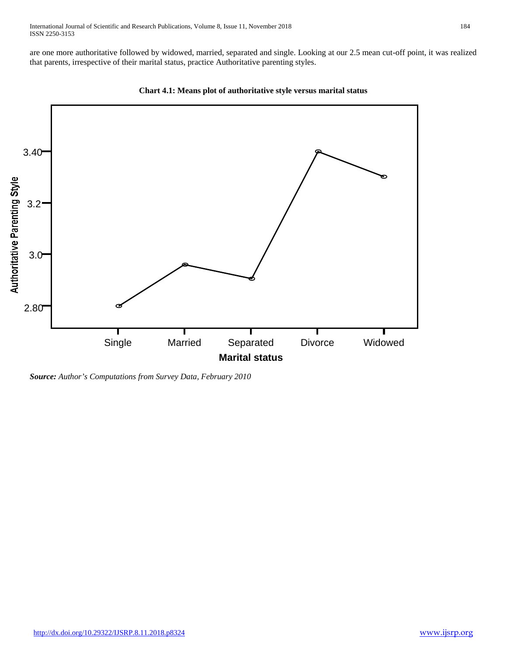are one more authoritative followed by widowed, married, separated and single. Looking at our 2.5 mean cut-off point, it was realized that parents, irrespective of their marital status, practice Authoritative parenting styles.



**Chart 4.1: Means plot of authoritative style versus marital status**

*Source: Author's Computations from Survey Data, February 2010*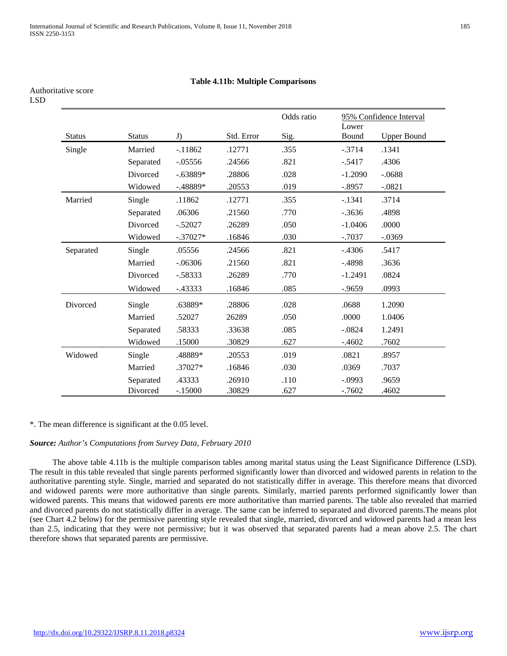# **Table 4.11b: Multiple Comparisons**

| I<br>۰, |
|---------|
|---------|

|               |               |            |            | Odds ratio | 95% Confidence Interval<br>Lower |                    |
|---------------|---------------|------------|------------|------------|----------------------------------|--------------------|
| <b>Status</b> | <b>Status</b> | J)         | Std. Error | Sig.       | Bound                            | <b>Upper Bound</b> |
| Single        | Married       | $-11862$   | .12771     | .355       | $-.3714$                         | .1341              |
|               | Separated     | $-.05556$  | .24566     | .821       | $-.5417$                         | .4306              |
|               | Divorced      | $-.63889*$ | .28806     | .028       | $-1.2090$                        | $-.0688$           |
|               | Widowed       | $-.48889*$ | .20553     | .019       | $-.8957$                         | $-.0821$           |
| Married       | Single        | .11862     | .12771     | .355       | $-.1341$                         | .3714              |
|               | Separated     | .06306     | .21560     | .770       | $-.3636$                         | .4898              |
|               | Divorced      | $-.52027$  | .26289     | .050       | $-1.0406$                        | .0000              |
|               | Widowed       | $-.37027*$ | .16846     | .030       | $-.7037$                         | $-.0369$           |
| Separated     | Single        | .05556     | .24566     | .821       | $-.4306$                         | .5417              |
|               | Married       | $-.06306$  | .21560     | .821       | $-.4898$                         | .3636              |
|               | Divorced      | $-.58333$  | .26289     | .770       | $-1.2491$                        | .0824              |
|               | Widowed       | $-0.43333$ | .16846     | .085       | $-0.9659$                        | .0993              |
| Divorced      | Single        | .63889*    | .28806     | .028       | .0688                            | 1.2090             |
|               | Married       | .52027     | 26289      | .050       | .0000                            | 1.0406             |
|               | Separated     | .58333     | .33638     | .085       | $-.0824$                         | 1.2491             |
|               | Widowed       | .15000     | .30829     | .627       | $-.4602$                         | .7602              |
| Widowed       | Single        | .48889*    | .20553     | .019       | .0821                            | .8957              |
|               | Married       | .37027*    | .16846     | .030       | .0369                            | .7037              |
|               | Separated     | .43333     | .26910     | .110       | $-.0993$                         | .9659              |
|               | Divorced      | $-.15000$  | .30829     | .627       | $-.7602$                         | .4602              |

#### \*. The mean difference is significant at the 0.05 level.

#### *Source: Author's Computations from Survey Data, February 2010*

 The above table 4.11b is the multiple comparison tables among marital status using the Least Significance Difference (LSD). The result in this table revealed that single parents performed significantly lower than divorced and widowed parents in relation to the authoritative parenting style. Single, married and separated do not statistically differ in average. This therefore means that divorced and widowed parents were more authoritative than single parents. Similarly, married parents performed significantly lower than widowed parents. This means that widowed parents ere more authoritative than married parents. The table also revealed that married and divorced parents do not statistically differ in average. The same can be inferred to separated and divorced parents.The means plot (see Chart 4.2 below) for the permissive parenting style revealed that single, married, divorced and widowed parents had a mean less than 2.5, indicating that they were not permissive; but it was observed that separated parents had a mean above 2.5. The chart therefore shows that separated parents are permissive.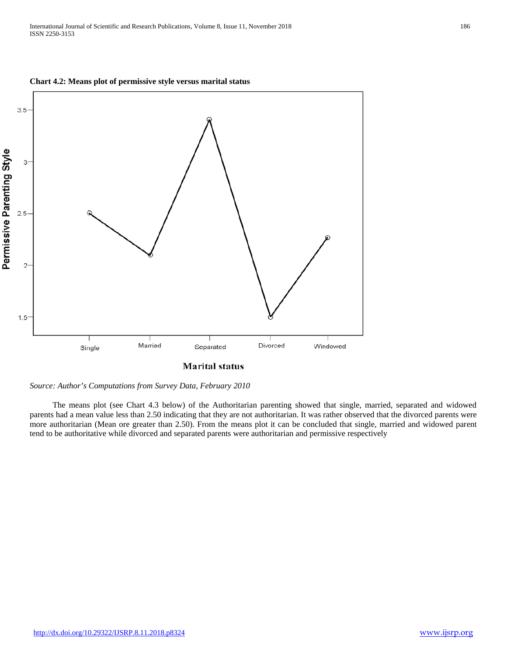





 The means plot (see Chart 4.3 below) of the Authoritarian parenting showed that single, married, separated and widowed parents had a mean value less than 2.50 indicating that they are not authoritarian. It was rather observed that the divorced parents were more authoritarian (Mean ore greater than 2.50). From the means plot it can be concluded that single, married and widowed parent tend to be authoritative while divorced and separated parents were authoritarian and permissive respectively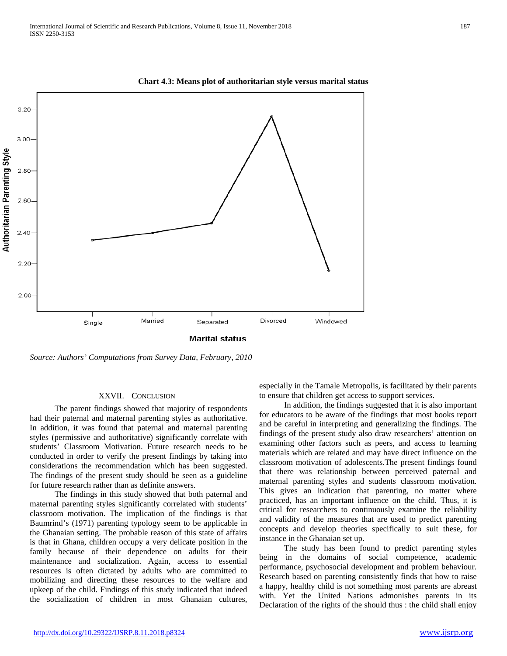

**Chart 4.3: Means plot of authoritarian style versus marital status**

*Source: Authors' Computations from Survey Data, February, 2010*

#### XXVII. CONCLUSION

 The parent findings showed that majority of respondents had their paternal and maternal parenting styles as authoritative. In addition, it was found that paternal and maternal parenting styles (permissive and authoritative) significantly correlate with students' Classroom Motivation. Future research needs to be conducted in order to verify the present findings by taking into considerations the recommendation which has been suggested. The findings of the present study should be seen as a guideline for future research rather than as definite answers.

 The findings in this study showed that both paternal and maternal parenting styles significantly correlated with students' classroom motivation. The implication of the findings is that Baumrind's (1971) parenting typology seem to be applicable in the Ghanaian setting. The probable reason of this state of affairs is that in Ghana, children occupy a very delicate position in the family because of their dependence on adults for their maintenance and socialization. Again, access to essential resources is often dictated by adults who are committed to mobilizing and directing these resources to the welfare and upkeep of the child. Findings of this study indicated that indeed the socialization of children in most Ghanaian cultures,

especially in the Tamale Metropolis, is facilitated by their parents to ensure that children get access to support services.

 In addition, the findings suggested that it is also important for educators to be aware of the findings that most books report and be careful in interpreting and generalizing the findings. The findings of the present study also draw researchers' attention on examining other factors such as peers, and access to learning materials which are related and may have direct influence on the classroom motivation of adolescents.The present findings found that there was relationship between perceived paternal and maternal parenting styles and students classroom motivation. This gives an indication that parenting, no matter where practiced, has an important influence on the child. Thus, it is critical for researchers to continuously examine the reliability and validity of the measures that are used to predict parenting concepts and develop theories specifically to suit these, for instance in the Ghanaian set up.

 The study has been found to predict parenting styles being in the domains of social competence, academic performance, psychosocial development and problem behaviour. Research based on parenting consistently finds that how to raise a happy, healthy child is not something most parents are abreast with. Yet the United Nations admonishes parents in its Declaration of the rights of the should thus : the child shall enjoy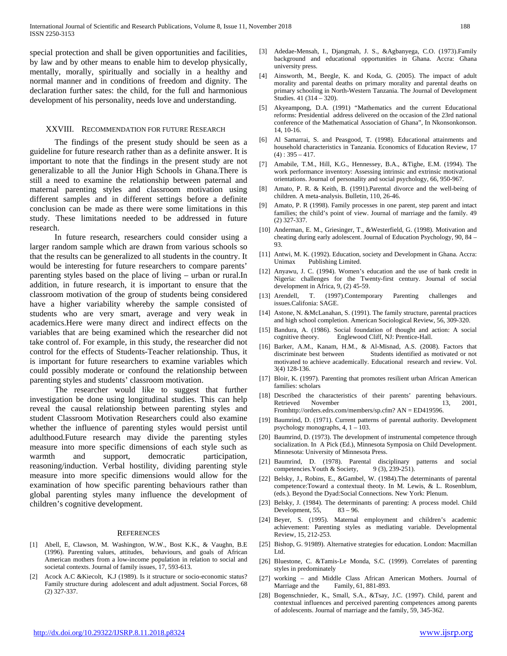special protection and shall be given opportunities and facilities, by law and by other means to enable him to develop physically, mentally, morally, spiritually and socially in a healthy and normal manner and in conditions of freedom and dignity. The declaration further sates: the child, for the full and harmonious development of his personality, needs love and understanding.

#### XXVIII. RECOMMENDATION FOR FUTURE RESEARCH

 The findings of the present study should be seen as a guideline for future research rather than as a definite answer. It is important to note that the findings in the present study are not generalizable to all the Junior High Schools in Ghana.There is still a need to examine the relationship between paternal and maternal parenting styles and classroom motivation using different samples and in different settings before a definite conclusion can be made as there were some limitations in this study. These limitations needed to be addressed in future research.

 In future research, researchers could consider using a larger random sample which are drawn from various schools so that the results can be generalized to all students in the country. It would be interesting for future researchers to compare parents' parenting styles based on the place of living – urban or rural.In addition, in future research, it is important to ensure that the classroom motivation of the group of students being considered have a higher variability whereby the sample consisted of students who are very smart, average and very weak in academics.Here were many direct and indirect effects on the variables that are being examined which the researcher did not take control of. For example, in this study, the researcher did not control for the effects of Students-Teacher relationship. Thus, it is important for future researchers to examine variables which could possibly moderate or confound the relationship between parenting styles and students' classroom motivation.

 The researcher would like to suggest that further investigation be done using longitudinal studies. This can help reveal the causal relationship between parenting styles and student Classroom Motivation Researchers could also examine whether the influence of parenting styles would persist until adulthood.Future research may divide the parenting styles measure into more specific dimensions of each style such as warmth and support, democratic participation, reasoning/induction. Verbal hostility, dividing parenting style measure into more specific dimensions would allow for the examination of how specific parenting behaviours rather than global parenting styles many influence the development of children's cognitive development.

#### **REFERENCES**

- [1] Abell, E, Clawson, M. Washington, W.W., Bost K.K., & Vaughn, B.E (1996). Parenting values, attitudes, behaviours, and goals of African American mothers from a low-income population in relation to social and societal contexts. Journal of family issues, 17, 593-613.
- Acock A.C &Kiecolt, K.J (1989). Is it structure or socio-economic status? Family structure during adolescent and adult adjustment. Social Forces, 68 (2) 327-337.
- [3] Adedae-Mensah, I., Djangmah, J. S., &Agbanyega, C.O. (1973).Family background and educational opportunities in Ghana. Accra: Ghana university press.
- [4] Ainsworth, M., Beegle, K. and Koda, G. (2005). The impact of adult morality and parental deaths on primary morality and parental deaths on primary schooling in North-Western Tanzania. The Journal of Development Studies. 41 (314 – 320).
- [5] Akyeampong, D.A. (1991) "Mathematics and the current Educational reforms: Presidential address delivered on the occasion of the 23rd national conference of the Mathematical Association of Ghana", In Nkonsonkonson. 14, 10-16.
- [6] Al Samarrai, S. and Peasgood, T. (1998). Educational attainments and household characteristics in Tanzania. Economics of Education Review, 17  $(4)$ : 395 – 417.
- [7] Amabile, T.M., Hill, K.G., Hennessey, B.A., &Tighe, E.M. (1994). The work performance inventory: Assessing intrinsic and extrinsic motivational orientations. Journal of personality and social psychology, 66, 950-967.
- [8] Amato, P. R. & Keith, B. (1991).Parental divorce and the well-being of children. A meta-analysis. Bulletin, 110, 26-46.
- [9] Amato, P. R (1998). Family processes in one parent, step parent and intact families; the child's point of view. Journal of marriage and the family. 49 (2) 327-337.
- [10] Anderman, E. M., Griesinger, T., &Westerfield, G. (1998). Motivation and cheating during early adolescent. Journal of Education Psychology, 90, 84 – 93.
- [11] Antwi, M. K. (1992). Education, society and Development in Ghana. Accra: Unimax Publishing Limited.
- [12] Anyawu, J. C. (1994). Women's education and the use of bank credit in Nigeria: challenges for the Twenty-first century. Journal of social development in Africa, 9, (2) 45-59.
- [13] Arendell, T. (1997).Contemporary Parenting challenges and issues.Califonia: SAGE.
- [14] Astone, N. &McLanahan, S. (1991). The family structure, parental practices and high school completion. American Sociological Review, 56, 309-320.
- [15] Bandura, A. (1986). Social foundation of thought and action: A social Englewood Cliff, NJ: Prentice-Hall.
- [16] Barker, A.M., Kanam, H.M., & Al-Misnad, A.S. (2008). Factors that Students identified as motivated or not motivated to achieve academically. Educational research and review. Vol. 3(4) 128-136.
- [17] Bloir, K. (1997). Parenting that promotes resilient urban African American families: scholars
- [18] Described the characteristics of their parents' parenting behaviours. Retrieved November 13, 2001, Fromhttp://orders.edrs.com/members/sp.cfm? AN = ED419596.
- [19] Baumrind, D. (1971). Current patterns of parental authority. Development psychology monographs, 4, 1 – 103.
- [20] Baumrind, D. (1973). The development of instrumental competence through socialization. In A Pick (Ed.), Minnesota Symposia on Child Development. Minnesota: University of Minnesota Press.
- [21] Baumrind, D. (1978). Parental disciplinary patterns and social competencies. Youth & Society, 9 (3), 239-251).
- [22] Belsky, J., Robins, E., &Gambel, W. (1984).The determinants of parental competence:Toward a contextual theoty. In M. Lewis, & L. Rosenblum, (eds.). Beyond the Dyad:Social Connections. New York: Plenum.
- [23] Belsky, J. (1984). The determinants of parenting: A process model. Child Development,  $55$ ,  $83 - 96$ .
- [24] Beyer, S. (1995). Maternal employment and children's academic achievement: Parenting styles as mediating variable. Developmental Review, 15, 212-253.
- [25] Bishop, G. 91989). Alternative strategies for education. London: Macmillan Ltd.
- [26] Bluestone, C. &Tamis-Le Monda, S.C. (1999). Correlates of parenting styles in predominately
- [27] working and Middle Class African American Mothers. Journal of Marriage and the Family, 61, 881-893.
- [28] Bogenschnieder, K., Small, S.A., &Tsay, J.C. (1997). Child, parent and contextual influences and perceived parenting competences among parents of adolescents. Journal of marriage and the family, 59, 345-362.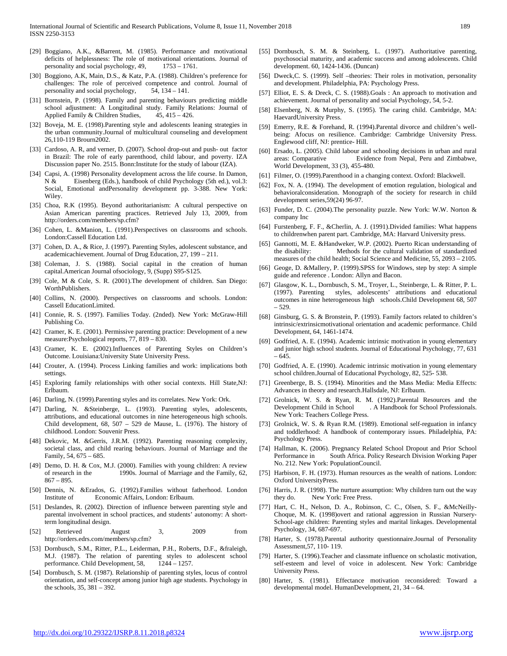- [29] Boggiano, A.K., &Barrent, M. (1985). Performance and motivational deficits of helplessness: The role of motivational orientations. Journal of personality and social psychology, 49, 1753 – 1761.
- [30] Boggiono, A.K, Main, D.S., & Katz, P.A. (1988). Children's preference for challenges: The role of perceived competence and control. Journal of personality and social psychology, 54, 134 – 141.
- [31] Bornstein, P. (1998). Family and parenting behaviours predicting middle school adjustment: A Longitudinal study. Family Relations: Journal of Applied Family & Children Studies, 45, 415 – 426.
- [32] Boveja, M. E. (1998). Parenting style and adolescents leaning strategies in the urban community.Journal of multicultural counseling and development 26,110-119 Brourn2002.
- [33] Cardoso, A. R, and verner, D. (2007). School drop-out and push- out factor in Brazil: The role of early parenthood, child labour, and poverty. IZA Discussion paper No. 2515. Bonn:Institute for the study of labour (IZA).
- [34] Capsi, A. (1998) Personality development across the life course. In Damon, N & Eisenberg (Eds.), handbook of child Psychology (5th ed.), vol.3: Social, Emotional andPersonality development pp. 3-388. New York: Wiley.
- [35] Choa, R.K (1995). Beyond authoritarianism: A cultural perspective on Asian American parenting practices. Retrieved July 13, 2009, from http://orders.com/members/sp.cfm?
- [36] Cohen, L. &Manion, L. (1991). Perspectives on classrooms and schools. London:Cassell Education Ltd.
- [37] Cohen, D. A., & Rice, J. (1997). Parenting Styles, adolescent substance, and academicachievement. Journal of Drug Education, 27, 199 – 211.
- [38] Coleman, J. S. (1988). Social capital in the creation of human capital.American Journal ofsociology, 9, (Supp) S95-S125.
- [39] Cole, M & Cole, S. R. (2001).The development of children. San Diego: WorthPublishers.
- [40] Collins, N. (2000). Perspectives on classrooms and schools. London: Cassell EducationLimited.
- [41] Connie, R. S. (1997). Families Today. (2nded). New York: McGraw-Hill Publishing Co.
- [42] Cramer, K. E. (2001). Permissive parenting practice: Development of a new measure:Psychological reports, 77, 819 – 830.
- [43] Cramer, K. E. (2002).Influences of Parenting Styles on Children's Outcome. Louisiana:University State University Press.
- [44] Crouter, A. (1994). Process Linking families and work: implications both settings.
- [45] Exploring family relationships with other social contexts. Hill State,NJ: Erlbaum.
- [46] Darling, N. (1999). Parenting styles and its correlates. New York: Ork.
- [47] Darling, N. &Steinberge, L. (1993). Parenting styles, adolescents, attributions, and educational outcomes in nine heterogeneous high schools. Child development, 68, 507 – 529 de Mause, L. (1976). The history of childhood. London: Souvenir Press.
- [48] Dekovic, M. &Gerris, J.R.M. (1992). Parenting reasoning complexity, societal class, and child rearing behaviours. Journal of Marriage and the Family, 54, 675 – 685.
- [49] Demo, D. H. & Cox, M.J. (2000). Families with young children: A review of research in the 1990s. Journal of Marriage and the Family, 62, 867 – 895.
- [50] Dennis, N. &Erados, G. (1992).Families without fatherhood. London Institute of Economic Affairs, London: Erlbaum.
- [51] Deslandes, R. (2002). Direction of influence between parenting style and parental involvement in school practices, and students' autonomy: A shortterm longitudinal design.
- [52] Retrieved August 3, 2009 from http://orders.edrs.com/members/sp.cfm?
- [53] Dornbusch, S.M., Ritter, P.L., Leiderman, P.H., Roberts, D.F., &fraleigh, M.J. (1987). The relation of parenting styles to adolescent school performance. Child Development, 58, 1244 – 1257.
- [54] Dornbusch, S. M. (1987). Relationship of parenting styles, locus of control orientation, and self-concept among junior high age students. Psychology in the schools, 35, 381 – 392.
- [55] Dornbusch, S. M. & Steinberg, L. (1997). Authoritative parenting, psychosocial maturity, and academic success and among adolescents. Child development. 60, 1424-1436. (Duncan)
- [56] Dweck, C. S. (1999). Self -theories: Their roles in motivation, personality and development. Philadelphia, PA: Psychology Press.
- [57] Elliot, E. S. & Dreck, C. S. (1988).Goals : An approach to motivation and achievement. Journal of personality and social Psychology, 54, 5-2.
- [58] Elsenberg, N. & Murphy, S. (1995). The caring child. Cambridge, MA: HaevardUniversity Press.
- [59] Emerry, R.E. & Forehand, R. (1994).Parental divorce and children's wellbeing: Afocus on resilience. Cambridge: Cambridge University Press. Englewood cliff, NJ: prentice- Hill.
- [60] Ersado, L. (2005). Child labour and schooling decisions in urban and rural areas: Comparative Evidence from Nepal, Peru and Zimbabwe, World Development, 33 (3), 455-480.
- [61] Filmer, O. (1999). Parenthood in a changing context. Oxford: Blackwell.
- [62] Fox, N. A. (1994). The development of emotion regulation, biological and behavioralconsideration. Monograph of the society for research in child development series,59(24) 96-97.
- [63] Funder, D. C. (2004). The personality puzzle. New York: W.W. Norton & company Inc
- [64] Furstenberg, F. F., &Cherlin, A. J. (1991).Divided families: What happens to childrenwhen parent part. Cambridge, MA: Harvard University press.
- [65] Gannotti, M. E. &Handweker, W.P. (2002). Puerto Rican understanding of the disability: Methods for the cultural validation of standardized measures of the child health; Social Science and Medicine, 55, 2093 – 2105.
- [66] Geoge, D. &Mallery, P. (1999).SPSS for Windows, step by step: A simple guide and reference . London: Allyn and Bacon.
- [67] Glasgow, K. L., Dornbusch, S. M., Troyer, L., Steinberge, L. & Ritter, P. L. (1997). Parenting styles, adolescents' attributions and educational outcomes in nine heterogeneous high schools.Child Development 68, 507 – 529.
- [68] Ginsburg, G. S. & Bronstein, P. (1993). Family factors related to children's intrinsic/extrinsicmotivational orientation and academic performance. Child Development, 64, 1461-1474.
- [69] Godfried, A. E. (1994). Academic intrinsic motivation in young elementary and junior high school students. Journal of Educational Psychology, 77, 631 – 645.
- [70] Godfried, A. E. (1990). Academic intrinsic motivation in young elementary school children.Journal of Educational Psychology, 82, 525- 538.
- [71] Greenberge, B. S. (1994). Minorities and the Mass Media: Media Effects: Advances in theory and research.Hallsdale, NJ: Erlbaum.
- [72] Grolnick, W. S. & Ryan, R. M. (1992). Parental Resources and the Development Child in School . A Handbook for School Professionals. New York: Teachers College Press.
- [73] Grolnick, W. S. & Ryan R.M. (1989). Emotional self-reguation in infancy and toddlerhood: A handbook of contemporary issues. Philadelphia, PA: Psychology Press.
- [74] Hallman, K. (2006). Pregnancy Related School Dropout and Prior School Performance in South Africa. Policy Research Division Working Paper No. 212. New York: PopulationCouncil.
- [75] Harbison, F. H. (1973). Human resources as the wealth of nations. London: Oxford UniversityPress.
- [76] Harris, J. R. (1998). The nurture assumption: Why children turn out the way they do. New York: Free Press.
- [77] Hart, C. H., Nelson, D. A., Robinson, C. C., Olsen, S. F., &McNeilly-Choque, M. K. (1998)overt and rational aggression in Russian Nursery-School-age children: Parenting styles and marital linkages. Developmental Psychology, 34, 687-697.
- [78] Harter, S. (1978).Parental authority questionnaire.Journal of Personality Assessment,57, 110- 119.
- [79] Harter, S. (1996). Teacher and classmate influence on scholastic motivation, self-esteem and level of voice in adolescent. New York: Cambridge University Press.
- [80] Harter, S. (1981). Effectance motivation reconsidered: Toward a developmental model. HumanDevelopment, 21, 34 – 64.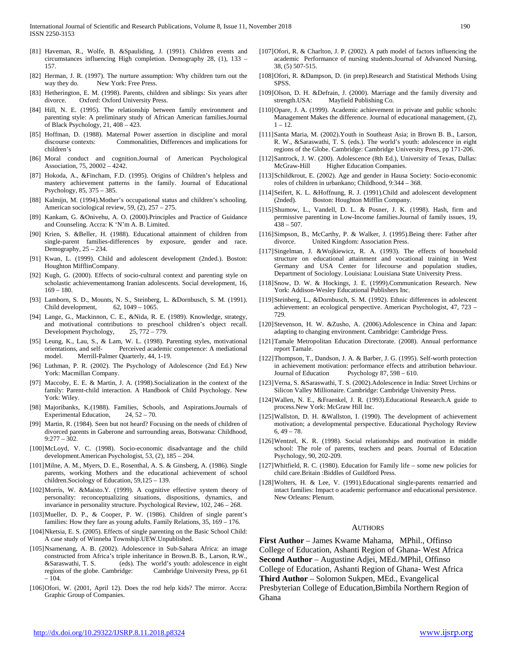- [81] Haveman, R., Wolfe, B. &Spauliding, J. (1991). Children events and circumstances influencing High completion. Demography 28, (1), 133 – 157.
- [82] Herman, J. R. (1997). The nurture assumption: Why children turn out the way they do. New York: Free Press.
- [83] Hetherington, E. M. (1998). Parents, children and siblings: Six years after divorce. Oxford: Oxford University Press.
- [84] Hill, N. E. (1995). The relationship between family environment and parenting style: A preliminary study of African American families.Journal of Black Psychology, 21, 408 – 423.
- [85] Hoffman, D. (1988). Maternal Power assertion in discipline and moral discourse contexts: Commonalities, Differences and implications for children's
- [86] Moral conduct and cognition.Journal of American Psychological Association, 75, 20002 – 4242.
- [87] Hokoda, A., &Fincham, F.D. (1995). Origins of Children's helpless and mastery achievement patterns in the family. Journal of Educational Psychology, 85, 375 – 385.
- [88] Kalmijn, M. (1994).Mother's occupational status and children's schooling. American sociological review, 59, (2), 257 – 275.
- [89] Kankam, G. &Onivehu, A. O. (2000).Principles and Practice of Guidance and Counseling. Accra: K 'N'm A. B. Limited.
- [90] Krien, S. &Beller, H. (1988). Educational attainment of children from single-parent families-differences by exposure, gender and race. Demography,  $25 - 234$ .
- [91] Kwan, L. (1999). Child and adolescent development (2nded.). Boston: Houghton MifflinCompany.
- [92] Kugh, G. (2000). Effects of socio-cultural context and parenting style on scholastic achievementamong Iranian adolescents. Social development, 16,  $169 - 180.$
- [93] Lamborn, S. D., Mounts, N. S., Steinberg, L. &Dornbusch, S. M. (1991). Child development, 62, 1049 – 1065.
- [94] Lange, G., Mackinnon, C. E., &Nida, R. E. (1989). Knowledge, strategy, and motivational contributions to preschool children's object recall.<br>Development Psychology, 25, 772 – 779. Development Psychology,
- [95] Leung, K., Lau, S., & Lam, W. L. (1998). Parenting styles, motivational orientations, and self- Perceived academic competence: A mediational model. Merrill-Palmer Quarterly, 44, 1-19.
- [96] Luthman, P. R. (2002). The Psychology of Adolescence (2nd Ed.) New York: Macmillan Company.
- [97] Maccoby, E. E. & Martin, J. A. (1998).Socialization in the context of the family: Parent-child interaction. A Handbook of Child Psychology. New York: Wiley.
- [98] Majoribanks, K.(1988). Families, Schools, and Aspirations.Journals of Experimental Education, 24, 52 – 70.
- [99] Martin, R. (1984). Seen but not heard? Focusing on the needs of children of divorced parents in Gaberone and surrounding areas, Botswana: Childhood, 9:277 – 302.
- [100]McLoyd, V. C. (1998). Socio-economic disadvantage and the child development.American Psychologist, 53, (2), 185 – 204.
- [101]Milne, A. M., Myers, D. E., Rosenthal, A. S. & Ginsberg, A. (1986). Single parents, working Mothers and the educational achievement of school children.Sociology of Education, 59,125 – 139.
- [102]Morris, W. &Maisto.Y. (1999). A cognitive effective system theory of personality: reconceptualizing situations, dispositions, dynamics, and invariance in personality structure. Psychological Review, 102, 246 – 268.
- [103]Mueller, D. P., & Cooper, P. W. (1986). Children of single parent's families: How they fare as young adults. Family Relations, 35, 169 – 176.
- [104]Nketsia, E. S. (2005). Effects of single parenting on the Basic School Child: A case study of Winneba Township.UEW.Unpublished.
- [105]Nsamenang, A. B. (2002). Adolescence in Sub-Sahara Africa: an image constructed from Africa's triple inheritance in Brown.B. B., Larson, R.W., &Saraswathi, T. S. (eds). The world's youth: adolescence in eight regions of the globe. Cambridge: Cambridge University Press, pp 61  $-104.$
- [106]Ofori, W. (2001, April 12). Does the rod help kids? The mirror. Accra: Graphic Group of Companies.
- [107]Ofori, R. & Charlton, J. P. (2002). A path model of factors influencing the academic Performance of nursing students.Journal of Advanced Nursing, 38, (5) 507-515.
- [108]Ofori, R. &Dampson, D. (in prep).Research and Statistical Methods Using SPSS.
- [109]Olson, D. H. &Defrain, J. (2000). Marriage and the family diversity and strength.USA: Mayfield Publishing Co.
- [110]Opare, J. A. (1999). Academic achievement in private and public schools: Management Makes the difference. Journal of educational management, (2),  $1 - 12$ .
- [111]Santa Maria, M. (2002).Youth in Southeast Asia; in Brown B. B., Larson, R. W., &Saraswathi, T. S. (eds.). The world's youth: adolescence in eight regions of the Globe. Cambridge: Cambridge University Press, pp 171-206.
- [112]Santrock, J. W. (200). Adolescence (8th Ed.), University of Texas, Dallas: McGraw-Hill Higher Education Companies.
- [113]Schildkrout, E. (2002). Age and gender in Hausa Society: Socio-economic roles of children in urbankano; Childhood, 9:344 – 368.
- [114]Seifert, K. L. &Hoffnung, R. J. (1991).Child and adolescent development (2nded). Boston: Houghton Mifflin Company.
- [115]Shumow, L., Vandell, D. L. & Posner, J. K. (1998). Hash, firm and permissive parenting in Low-Income families.Journal of family issues, 19,  $438 - 507$ .
- [116]Simpson, B., McCarthy, P. & Walker, J. (1995).Being there: Father after divorce. United Kingdom: Association Press.
- [117]Singelman, J. &Wojkiewicz, R. A. (1993). The effects of household structure on educational attainment and vocational training in West Germany and USA Center for lifecourse and population studies, Department of Sociology. Louisiana: Louisiana State University Press.
- [118]Snow, D. W. & Hockings, J. E. (1999).Communication Research. New York: Addison-Wesley Educational Publishers Inc.
- [119]Steinberg, L., &Dornbusch, S. M. (1992). Ethnic differences in adolescent achievement: an ecological perspective. American Psychologist, 47, 723 – 729.
- [120]Stevenson, H. W. &Zusho, A. (2006).Adolescence in China and Japan: adapting to changing environment. Cambridge: Cambridge Press.
- [121]Tamale Metropolitan Education Directorate. (2008). Annual performance report Tamale.
- [122]Thompson, T., Dandson, J. A. & Barber, J. G. (1995). Self-worth protection in achievement motivation: performance effects and attribution behaviour. Journal of Education Psychology 87, 598 – 610.
- [123]Verna, S. &Saraswathi, T. S. (2002).Adolescence in India: Street Urchins or Silicon Valley Millionaire. Cambridge: Cambridge University Press.
- [124]Wallen, N. E., &Fraenkel, J. R. (1993).Educational Research.A guide to process.New York: McGraw Hill Inc.
- [125]Wallston, D. H. &Wallston, I. (1990). The development of achievement motivation; a developmental perspective. Educational Psychology Review  $6, 49 - 78.$
- [126]Wentzel, K. R. (1998). Social relationships and motivation in middle school: The role of parents, teachers and pears. Journal of Education Psychology, 90, 202-209.
- [127]Whitfield, R. C. (1980). Education for Family life some new policies for child care.Britain :Biddles of Guildford Press.
- [128]Wolters, H. & Lee, V. (1991).Educational single-parents remarried and intact families: Impact o academic performance and educational persistence. New Orleans: Plenum.

#### AUTHORS

**First Author** – James Kwame Mahama, MPhil., Offinso College of Education, Ashanti Region of Ghana- West Africa **Second Author** – Augustine Adjei, MEd./MPhil, Offinso College of Education, Ashanti Region of Ghana- West Africa **Third Author** – Solomon Sukpen, MEd., Evangelical Presbyterian College of Education,Bimbila Northern Region of Ghana